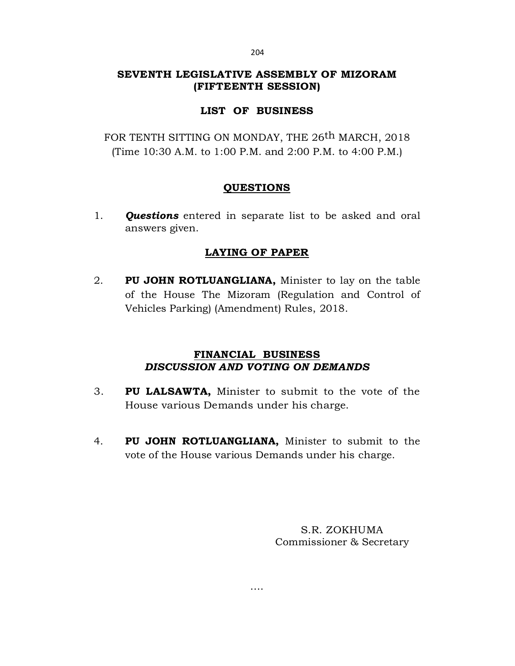# SEVENTH LEGISLATIVE ASSEMBLY OF MIZORAM (FIFTEENTH SESSION)

# LIST OF BUSINESS

FOR TENTH SITTING ON MONDAY, THE 26th MARCH, 2018 (Time 10:30 A.M. to 1:00 P.M. and 2:00 P.M. to 4:00 P.M.)

## QUESTIONS

1. **Questions** entered in separate list to be asked and oral answers given.

## LAYING OF PAPER

2. PU JOHN ROTLUANGLIANA, Minister to lay on the table of the House The Mizoram (Regulation and Control of Vehicles Parking) (Amendment) Rules, 2018.

## FINANCIAL BUSINESS DISCUSSION AND VOTING ON DEMANDS

- 3. PU LALSAWTA, Minister to submit to the vote of the House various Demands under his charge.
- 4. PU JOHN ROTLUANGLIANA, Minister to submit to the vote of the House various Demands under his charge.

….

S.R. ZOKHUMA Commissioner & Secretary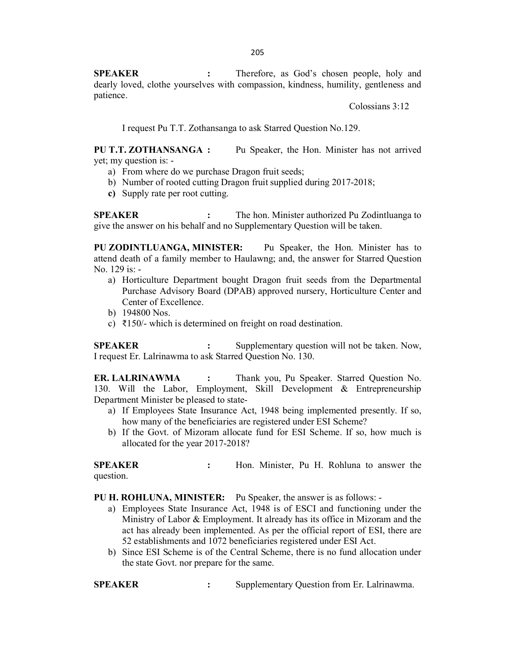205<br>
SPEAKER : Therefore, as God's chosen people, holy and<br>
dearly loved, clothe yourselves with compassion, kindness, humility, gentleness and<br>
patience.<br>
Colossians 3:12<br>
I request Pu T.T. Zothansanga to ask Starred Ques dearly loved, clothe yourselves with compassion, kindness, humility, gentleness and patience. 205<br> **SPEAKER** : Therefore, as God's chosen people, holy and<br>
dearly loved, clothe yourselves with compassion, kindness, humility, gentleness and<br>
patience.<br>
Colossians 3:12<br>
I request Pu T.T. Zothansanga to ask Starred Qu 205<br> **SPEAKER** : Therefore, as God's chosen people, holy and<br>
dearly loved, clothe yourselves with compassion, kindness, humility, gentleness and<br>
patience.<br>
Colossians 3:12<br>
I request Pu T.T. Zothansanga to ask Starred Qu

PU T.T. ZOTHANSANGA : Pu Speaker, the Hon. Minister has not arrived yet; my question is: -

- a) From where do we purchase Dragon fruit seeds;
- b) Number of rooted cutting Dragon fruit supplied during 2017-2018;
- c) Supply rate per root cutting.

give the answer on his behalf and no Supplementary Question will be taken.

205<br>
SPEAKER : Therefore, as God's chosen people, holy and<br>
dearly loved, clothe yourselves with compassion, kindness, humility, gentleness and<br>
patience.<br>
Colossians 3:12<br>
1 request Pu T.T. Zothansanga to ask Starred Ques PU ZODINTLUANGA, MINISTER: Pu Speaker, the Hon. Minister has to attend death of a family member to Haulawng; and, the answer for Starred Question No. 129 is: - **PU T.T. ZOTHANSANGA :** Pu Speaker, the Hon. Minister has not arrived<br>
a) From where do we purchase Dragon fruit seeds;<br>
a) Number of rooted cutting Dragon fruit supplied during 2017-2018;<br>
e) Supply rate per root cutting

- a) Horticulture Department bought Dragon fruit seeds from the Departmental Purchase Advisory Board (DPAB) approved nursery, Horticulture Center and Center of Excellence.
- b) 194800 Nos.
- c) ₹150/- which is determined on freight on road destination.

I request Er. Lalrinawma to ask Starred Question No. 130.

ER. LALRINAWMA : Thank you, Pu Speaker. Starred Question No. 130. Will the Labor, Employment, Skill Development & Entrepreneurship Department Minister be pleased to stateatterd denta of a family member to Haulawng; and, the answer for Starred Question<br>
No. 129 is: -<br>
a) Horticulture Department bought Dragon fruit seeds from the Departmental<br>
Purchae Advisory Board (DPAB) approved nursery,

- a) If Employees State Insurance Act, 1948 being implemented presently. If so, how many of the beneficiaries are registered under ESI Scheme?
- b) If the Govt. of Mizoram allocate fund for ESI Scheme. If so, how much is allocated for the year 2017-2018?

question.

- PU H. ROHLUNA, MINISTER: Pu Speaker, the answer is as follows: -
- a) Employees State Insurance Act, 1948 is of ESCI and functioning under the Ministry of Labor & Employment. It already has its office in Mizoram and the act has already been implemented. As per the official report of ESI, there are 52 establishments and 1072 beneficiaries registered under ESI Act. **ER. LALRINAWMA •** : Thank you, Pu Speaker. Started Question No.<br>
130. Will the Labor, Employment, Skill Development & Entrepreneurship<br>
Department Minister be pleased to state-<br>
a) If Employes State Instance Act, 1948 be
	- b) Since ESI Scheme is of the Central Scheme, there is no fund allocation under the state Govt. nor prepare for the same.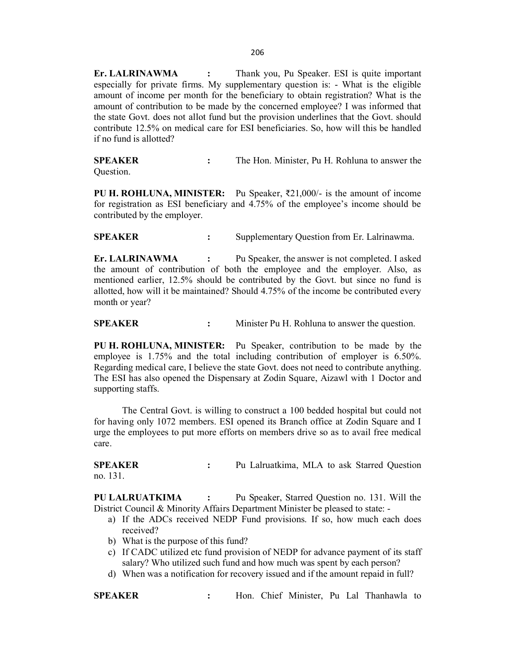Er. LALRINAWMA : Thank you, Pu Speaker. ESI is quite important especially for private firms. My supplementary question is: - What is the eligible amount of income per month for the beneficiary to obtain registration? What is the amount of contribution to be made by the concerned employee? I was informed that the state Govt. does not allot fund but the provision underlines that the Govt. should contribute 12.5% on medical care for ESI beneficiaries. So, how will this be handled if no fund is allotted? 206<br> **Er. LALRINAWMA** : Thank you, Pu Speaker. ESI is quite important<br>
especially for private firms. My supplementary question is: - What is the eligible<br>
amount of income per month for the beneficiary to obtain registrati 206<br>
206<br>
Sepecially for private firms. My supplementary question is: - What is the eligible<br>
sepecially for private firms. My supplementary question is: - What is the eligible<br>
amount of income per month for the beneficia

Question.

**PU H. ROHLUNA, MINISTER:** Pu Speaker,  $\overline{\xi}21,000/-$  is the amount of income for registration as ESI beneficiary and 4.75% of the employee's income should be contributed by the employer.

Er. LALRINAWMA : Pu Speaker, the answer is not completed. I asked the amount of contribution of both the employee and the employer. Also, as mentioned earlier, 12.5% should be contributed by the Govt. but since no fund is allotted, how will it be maintained? Should 4.75% of the income be contributed every month or year? The state Govt. does not allot fund but the provision underlines that the Govt. should<br>
contribute 12.5% on medical care for ESI beneficiaries. So, how will this be handled<br>
if no fund is allotted?<br>
SPEAKER : The Hon. Mini **FU H. ROHLUNA, MINISTER:** Pu Speaker, 221,000/- is the amount of income for the Central Governic System and 4.75% of the employee's income should be contributed by the employer. Supplementary Question from Er. Lalrinawma **ET. LALRINAWIMA** : Pu Speaker, the answer is not completed. I asked<br> **ET. LALRINAWIMA** is the minimizary of the contributed by the Govern to confluence are there are the environment<br>
and the minimizary of the form of sta

PU H. ROHLUNA, MINISTER: Pu Speaker, contribution to be made by the employee is 1.75% and the total including contribution of employer is 6.50%. Regarding medical care, I believe the state Govt. does not need to contribute anything. The ESI has also opened the Dispensary at Zodin Square, Aizawl with 1 Doctor and supporting staffs.

for having only 1072 members. ESI opened its Branch office at Zodin Square and I urge the employees to put more efforts on members drive so as to avail free medical care. supporting staffs.<br>
The Central Govt. is willing to construct a 100 bedded hospital but could not<br>
for having only 1072 members. ESI opened its Branch office at Zodin Square and I<br>
turge the employees to put more efforts o

no. 131.

PU LALRUATKIMA : Pu Speaker, Starred Question no. 131. Will the District Council & Minority Affairs Department Minister be pleased to state: -

- a) If the ADCs received NEDP Fund provisions. If so, how much each does received?
- b) What is the purpose of this fund?
- c) If CADC utilized etc fund provision of NEDP for advance payment of its staff salary? Who utilized such fund and how much was spent by each person?
- d) When was a notification for recovery issued and if the amount repaid in full?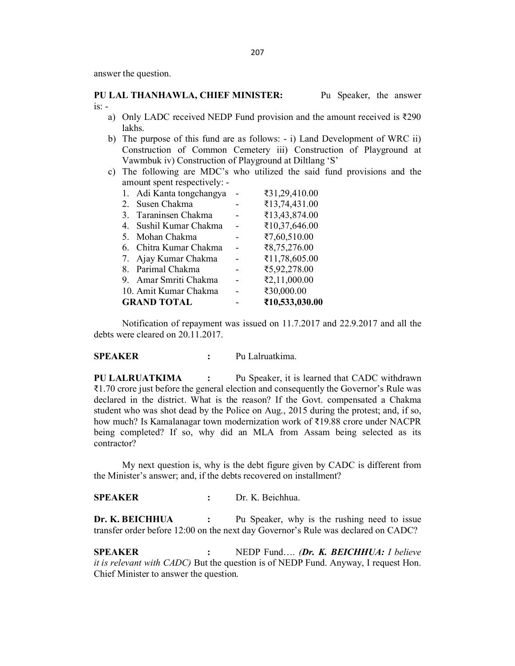- lakhs.
- 207<br>
PU LAL THANHAWLA, CHIEF MINISTER: Pu Speaker, the answer<br>
is: -<br>
a) Only LADC received NEDP Fund provision and the amount received is ₹290<br>
lakhs.<br>
b) The purpose of this fund are as follows: i) Land Development of b) The purpose of this fund are as follows: - i) Land Development of WRC ii) Construction of Common Cemetery iii) Construction of Playground at Vawmbuk iv) Construction of Playground at Diltlang 'S'
	- c) The following are MDC's who utilized the said fund provisions and the amount spent respectively: -

|         |                                                        |                | 207                                                                                          |  |
|---------|--------------------------------------------------------|----------------|----------------------------------------------------------------------------------------------|--|
|         |                                                        |                |                                                                                              |  |
|         | answer the question.                                   |                |                                                                                              |  |
|         | PU LAL THANHAWLA, CHIEF MINISTER:                      |                | Pu Speaker, the answer                                                                       |  |
| is: -   |                                                        |                |                                                                                              |  |
|         |                                                        |                | a) Only LADC received NEDP Fund provision and the amount received is $\overline{\text{290}}$ |  |
|         | lakhs.                                                 |                |                                                                                              |  |
|         |                                                        |                | b) The purpose of this fund are as follows: - i) Land Development of WRC ii)                 |  |
|         |                                                        |                | Construction of Common Cemetery iii) Construction of Playground at                           |  |
|         | Vawmbuk iv) Construction of Playground at Diltlang 'S' |                |                                                                                              |  |
| C)      |                                                        |                | The following are MDC's who utilized the said fund provisions and the                        |  |
|         | amount spent respectively: -                           |                |                                                                                              |  |
|         | 1. Adi Kanta tongchangya                               |                | ₹31,29,410.00                                                                                |  |
|         | 2. Susen Chakma<br>3. Taraninsen Chakma                |                | ₹13,74,431.00<br>₹13,43,874.00                                                               |  |
|         | 4. Sushil Kumar Chakma                                 | $\blacksquare$ | ₹10,37,646.00                                                                                |  |
|         | 5. Mohan Chakma                                        |                | ₹7,60,510.00                                                                                 |  |
|         | 6. Chitra Kumar Chakma                                 |                | ₹ $8,75,276.00$                                                                              |  |
|         | 7. Ajay Kumar Chakma                                   | $\blacksquare$ | ₹11,78,605.00                                                                                |  |
|         | 8. Parimal Chakma                                      |                | ₹5,92,278.00                                                                                 |  |
|         | 9. Amar Smriti Chakma                                  |                | ₹2,11,000.00                                                                                 |  |
|         | 10. Amit Kumar Chakma                                  |                | ₹30,000.00                                                                                   |  |
|         | <b>GRAND TOTAL</b>                                     |                | ₹10,533,030.00                                                                               |  |
|         |                                                        |                | Notification of repayment was issued on 11.7.2017 and 22.9.2017 and all the                  |  |
|         | debts were cleared on 20.11.2017.                      |                |                                                                                              |  |
| SPEAKER | $\ddot{\cdot}$                                         |                | Pu Lalruatkima.                                                                              |  |
|         | PU LALRUATKIMA<br>:                                    |                | Pu Speaker, it is learned that CADC withdrawn                                                |  |
|         |                                                        |                | ₹1.70 crore just before the general election and consequently the Governor's Rule was        |  |
|         |                                                        |                | declared in the district. What is the reason? If the Govt. compensated a Chakma              |  |
|         |                                                        |                | student who was shot dead by the Police on Aug., 2015 during the protest; and, if so,        |  |

PU LALRUATKIMA : Pu Speaker, it is learned that CADC withdrawn  $\bar{\xi}$ 1.70 crore just before the general election and consequently the Governor's Rule was declared in the district. What is the reason? If the Govt. compensated a Chakma student who was shot dead by the Police on Aug., 2015 during the protest; and, if so, how much? Is Kamalanagar town modernization work of ₹19.88 crore under NACPR being completed? If so, why did an MLA from Assam being selected as its contractor? 6. Chira Kumar Chakma ( $\overline{3}$ , 75,52,756.00<br>
7. Ajay Kumar Chakma ( $\overline{3}$ , 17,78,605.00<br>
8. Parinal Chakma ( $\overline{3}$ , 27,11,000.00)<br>
10. Amit Kumar Chakma ( $\overline{3}$ , 11,000.00)<br>
GRAND TOTAL ( $\overline{3}$ ,  $\overline{3}$ ,000.00) 10. Amit Kumar Chakma <br> **ERAND TOTAL**<br> **ERAND TOTAL**<br> **ERAND TOTAL AT ALLY AND TOTAL AT ALLY AND TOTAL AT ALLY AND TOTAL AND TOTAL AND AND TOTALLY OUT AND ARRIVE THE RAND TOTAL AND TOTAL AND TOTAL AND TOTAL AND TOTAL AND** Notification of repayment was issued on 11.7.2017 and 22.9.2017 and all the<br>debts were cleared on 20.11.2017.<br> **SPEAKER** : Pu Laturatkima.<br>
PU LALRUATKIMA : Pu Speaker, it is learned that CADC withdrawn<br>
RULALRUATKIMA : P **SPEAKER** : Pu Lalruatkima.<br>
PU LALRUATKIMA : Pu Speaker, it is learned that CADC withdrawn<br>
R1.70 crore just before the general election and consequently the Governor's Rule was<br>
decleared in the district. What is th

the Minister's answer; and, if the debts recovered on installment?

transfer order before 12:00 on the next day Governor's Rule was declared on CADC?

it is relevant with CADC) But the question is of NEDP Fund. Anyway, I request Hon. Chief Minister to answer the question.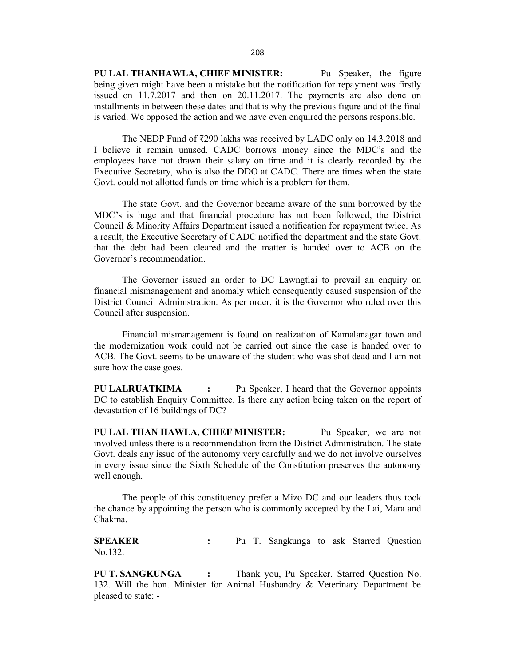208<br>
PU LAL THANHAWLA, CHIEF MINISTER: Pu Speaker, the figure<br>
being given might have been a mistake but the notification for repayment was firstly<br>
issued on 11.7.2017 and then on 20.11.2017. The payments are also done o being given might have been a mistake but the notification for repayment was firstly issued on 11.7.2017 and then on 20.11.2017. The payments are also done on installments in between these dates and that is why the previous figure and of the final is varied. We opposed the action and we have even enquired the persons responsible. 208<br> **PU LAL THANHAWLA, CHIEF MINISTER:** Pu Speaker, the figure<br>
being given might have been a mistake but the notification for repayment was firstly<br>
issued on 11.7.2017 and then on 20.11.2017. The payments are also done

I believe it remain unused. CADC borrows money since the MDC's and the employees have not drawn their salary on time and it is clearly recorded by the Executive Secretary, who is also the DDO at CADC. There are times when the state Govt. could not allotted funds on time which is a problem for them.

208<br>208<br>208<br>
PU LAL THANHAWLA, CHIEF MINISTER:<br>
being given a mistalic but the notification for repayment was firstly<br>
issued on 11.7.2017 and then on 20.11.2017. The payments are also done on<br>
installments in between the MDC's is huge and that financial procedure has not been followed, the District Council & Minority Affairs Department issued a notification for repayment twice. As a result, the Executive Secretary of CADC notified the departmentand the state Govt. that the debt had been cleared and the matter is handed over to ACB on the Governor's recommendation. **PU LAL THANHAWLA, CHIEF MINISTER:** Pu Speaker, the figure being given might have been a mistake but the notification for repayment was firstly issued on 11.7.2017 and then on 2.0.11.2017. The payments are also done on in is varied. We opposed the action and we have even enquired the persons responsible.<br>
The NEDP Fund of 2290 lakhs was received by LADC only on 14.3.2018 and<br>
I believe it remain unused. CADC borrows money since the MDC's an

financial mismanagement and anomaly which consequently caused suspension of the District Council Administration. As per order, it is the Governor who ruled over this Council after suspension.

the modernization work could not be carried out since the case is handed over to ACB. The Govt. seems to be unaware of the student who was shot dead and I am not sure how the case goes.

PU LALRUATKIMA : Pu Speaker, I heard that the Governor appoints DC to establish Enquiry Committee. Is there any action being taken on the report of devastation of 16 buildings of DC?

Council at membry Arlan's Department issued a nontrical out of repayment twice. Associated a medicinal of respective Secretary of CADC notified the department and the state Govt.<br>
that the debt had been cleared and the mat involved unless there is a recommendation from the District Administration. The state Govt. deals any issue of the autonomy very carefully and we do not involve ourselves in every issue since the Sixth Schedule of the Constitution preserves the autonomy well enough. The Governor issued an order to DC Lawngliai to prevail an enquiry on<br>
financial mismanagement and anomaly which consequently caused suspersion of the<br>
District Council Administration. As per order, it is the Governor who Framcial mismangement is found on realization of Kamalangar town and<br>the modernization work could not be carried out since the case is handed over to<br>ACB. The Govt. seems to be unaware of the student who was shot dead and

the chance by appointing the person who is commonly accepted by the Lai, Mara and Chakma.

No.132.

PU T. SANGKUNGA : Thank you, Pu Speaker. Starred Question No. 132. Will the hon. Minister for Animal Husbandry & Veterinary Department be pleased to state: -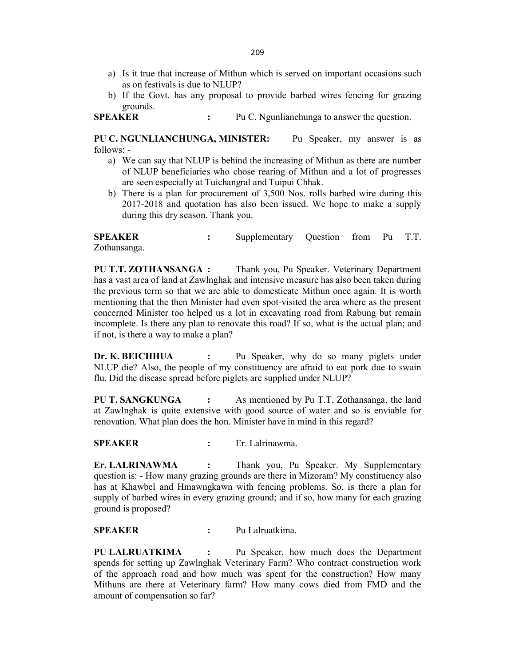- a) Is it true that increase of Mithun which is served on important occasions such 209<br>
a) Is it true that increase of Mithun which is served on important occasions such<br>
as on festivals is due to NLUP?<br>
b) If the Govt. has any proposal to provide barbed wires fencing for grazing<br>
grounds.<br> **EAKER** : Pu
- grounds.

PU C. NGUNLIANCHUNGA, MINISTER: Pu Speaker, my answer is as follows: -

- 209<br>
a) Is it true that increase of Mithun which is served on important occasions such<br>
as on festivals is due to NLUP?<br>
b) If the Govt. has any proposal to provide barbed wires fencing for grazing<br>
grounds.<br> **SPEAKER** : P a) We can say that NLUP is behind the increasing of Mithun as there are number of NLUP beneficiaries who chose rearing of Mithun and a lot of progresses are seen especially at Tuichangral and Tuipui Chhak.
	- b) There is a plan for procurement of 3,500 Nos. rolls barbed wire during this 2017-2018 and quotation has also been issued. We hope to make a supply during this dry season. Thank you.

Zothansanga.

SPEAKER : Supplementary Question from Pu T.T. PU T.T. ZOTHANSANGA : Thank you, Pu Speaker. Veterinary Department has a vast area of land at Zawlnghak and intensive measure has also been taken during the previous term so that we are able to domesticate Mithun once again. It is worth mentioning that the then Minister had even spot-visited the area where as the present concerned Minister too helped us a lot in excavating road from Rabung but remain incomplete. Is there any plan to renovate this road? If so, what is the actual plan; and if not, is there a way to make a plan? follows:<br>
We can say that NLUP is behind the increasing of Mithun and a lot of progresses<br>
or SC NLUP beneficiaries who chose rearing of Mithun and a lot of progresses<br>
or secence specially at Tuichargula and Tuipui Chhak **SPEAKER** : Supplementary Question from Pu T.T.<br> **Schansanga.** : Supplementary Question from Pu T.T.<br> **PU T.T. ZOTHANSANGA :** Thank you, Pu Speaker. Veterinary Department<br>
thas a vast area of land at Zawlnghak and intensi

NLUP die? Also, the people of my constituency areafraid to eat pork due to swain flu. Did the disease spread before piglets are supplied under NLUP?

PU T. SANGKUNGA : As mentioned by Pu T.T. Zothansanga, the land at Zawlnghak is quite extensive with good source of water and so is enviable for renovation. What plan does the hon. Minister have in mind in this regard?

Er. LALRINAWMA : Thank you, Pu Speaker. My Supplementary question is: - How many grazing grounds are there in Mizoram? My constituency also has at Khawbel and Hmawngkawn with fencing problems. So, is there a plan for supply of barbed wires in every grazing ground; and if so, how many for each grazing ground is proposed? incomplete. Is there any plan to renovate this road? If so, what is the actual plan; and<br>
froct, is there a way to make a plan?<br> **Dr. K. BEICHHIUA** : Pu Speaker, why do so many piglets under<br> **Dr. K. BEICHHIUA** : Pu Speake

PU LALRUATKIMA : Pu Speaker, how much does the Department spends for setting up Zawlnghak Veterinary Farm? Who contract construction work of the approach road and how much was spent for the construction? How many Mithuns are there at Veterinary farm? How many cows died from FMD and the amount of compensation so far?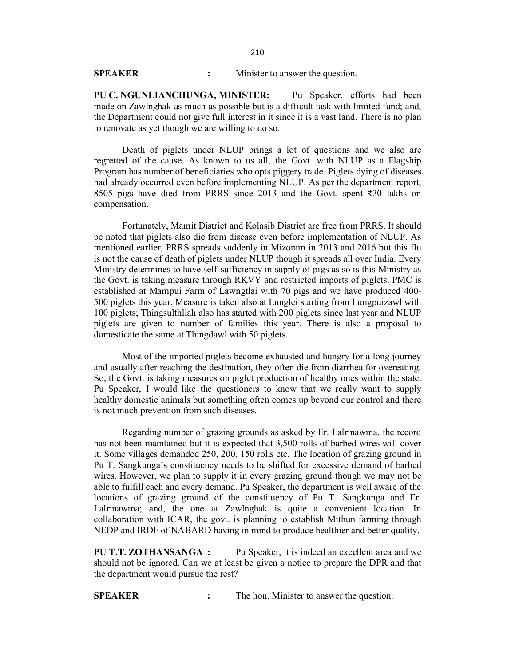210<br>
SPEAKER : Minister to answer the question.<br>
PU C. NGUNLIANCHUNGA, MINISTER: Pu Speaker, efforts had been<br>
made on Zawlnghak as much as possible but is a difficult task with limited fund; and,<br>
the Department could not PU C. NGUNLIANCHUNGA, MINISTER: Pu Speaker, efforts had been made on Zawlnghak as much as possible but is a difficult task with limited fund; and, the Department could not give full interest in it since it is a vast land. There is no plan to renovate as yet though we are willing to do so.

Death of piglets under NLUP brings a lot of questions and we also are regretted of the cause. As known to us all, the Govt. with NLUP as a Flagship Program has number of beneficiaries who opts piggery trade. Piglets dying of diseases had already occurred even before implementing NLUP. As per the department report, 8505 pigs have died from PRRS since 2013 and the Govt. spent ₹30 lakhs on compensation.

Fortunately, Mamit District and Kolasib District are free from PRRS. It should be noted that piglets also die from disease even before implementation of NLUP. As mentioned earlier, PRRS spreads suddenly in Mizoram in 2013 and 2016 but this flu is not the cause of death of piglets under NLUP though it spreads all over India. Every Ministry determines to have self-sufficiency in supply of pigs as so is this Ministry as the Govt. is taking measure through RKVY and restricted imports of piglets. PMC is established at Mampui Farm of Lawngtlai with 70 pigs and we have produced 400- 500 piglets this year. Measure is taken also at Lunglei starting from Lungpuizawl with 100 piglets; Thingsulthliah also has started with 200 piglets since last year and NLUP piglets are given to number of families this year. There is also a proposal to domesticate the same at Thingdawl with 50 piglets.

Most of the imported piglets become exhausted and hungry for a long journey and usually after reaching the destination, they often die from diarrhea for overeating. So, the Govt. is taking measures on piglet production of healthy ones within the state. Pu Speaker, I would like the questioners to know that we really want to supply healthy domestic animals but something often comes up beyond our control and there is not much prevention from such diseases.

Regarding number of grazing grounds as asked by Er. Lalrinawma, the record has not been maintained but it is expected that 3,500 rolls of barbed wires will cover it. Some villages demanded 250, 200, 150 rolls etc. The location of grazing ground in Pu T. Sangkunga's constituency needs to be shifted for excessive demand of barbed wires. However, we plan to supply it in every grazing ground though we may not be able to fulfill each and every demand. Pu Speaker, the department is well aware of the locations of grazing ground of the constituency of Pu T. Sangkunga and Er. Lalrinawma; and, the one at Zawlnghak is quite a convenient location. In collaboration with ICAR, the govt. is planning to establish Mithun farming through NEDP and IRDF of NABARD having in mindto produce healthier and better quality. Pu Speaker, I would like the questioners to know that we really want to supply<br>healthy domestic animals but something often comes up beyond our control and there<br>is not much prevention from such diseases.<br>Regarding number

PU T.T. ZOTHANSANGA : Pu Speaker, it is indeed an excellent area and we should not be ignored. Can we at least be given a notice to prepare the DPR and that the department would pursue the rest?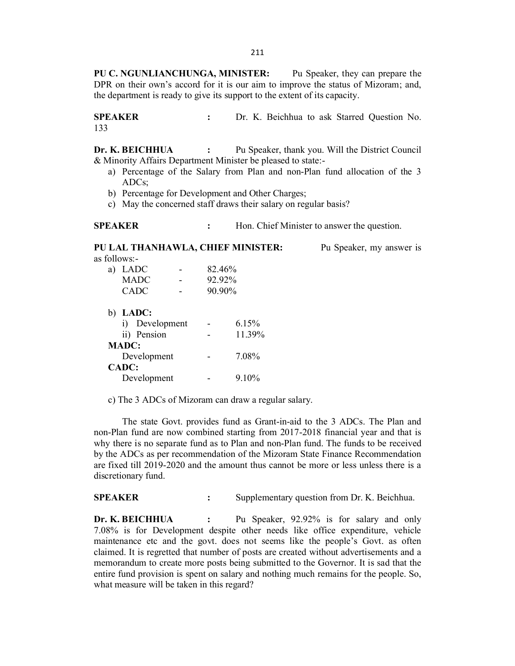PU C. NGUNLIANCHUNGA, MINISTER: Pu Speaker, they can prepare the DPR on their own's accord for it is our aim to improve the status of Mizoram; and, the department is ready to give its support to the extent of its capacity. 211<br>
PU C. NGUNLIANCHUNGA, MINISTER: Pu Speaker, they can prepare the<br>
DPR on their own's accord for it is our aim to improve the status of Mizoram; and,<br>
the department is ready to give its support to the extent of its ca 211<br>
PU C. NGUNLIANCHUNGA, MINISTER: Pu Speaker, they can prepare the<br>
DPR on their own's accord for it is our aim to improve the status of Mizoram; and,<br>
the department is ready to give its support to the extent of its ca

133

& Minority Affairs Department Minister be pleased to state:-

- a) Percentage of the Salary from Plan and non-Plan fund allocation of the 3 ADCs;
- b) Percentage for Development and Other Charges;
- c) May the concerned staff draws their salary on regular basis?

| <b>SPEAKER</b> | Hon. Chief Minister to answer the question. |
|----------------|---------------------------------------------|
|----------------|---------------------------------------------|

SPEAKER : Hon. Chief Minister to answer the question. 211<br>
PU C. NGUNLIANCHUNGA, MINISTER: Pu Speaker, they can prepare the<br>
DPR on their own's accord for it is our aim to improve the status of Mizoram; and,<br>
the department is ready to give its support to the extent of its ca as follows: a) LADC - 82.46% MADC - 92.92%  $CADC$  -  $90.90\%$ b) LADC: i) Development - 6.15% **BEICHIII**(A : Pu Speaker, thank you. Will the District Council<br>
Divity Affairs Department Minister be pleased to state:-<br>
Percentage of the Salary from Plan and non-Plan fund allocation of the 3<br>
ADCs;<br>
Herecntage for Dev MADC: **BEICHING**<br> **BEICHING**<br> **DEVELONE CONSUMED AT A SUME SUMMANY A fluis Department Minister be pleased to state:-<br>
Percentage of the Salary from Plan and non-Plan fund allocation of the 3<br>
ADCs;<br>
<b>PERCENTA A CHIEF MINISTER:** Percentage of the Salary from Plan and non-Plan fund allocation of the 3<br>
Percentage for Development and Other Charges;<br>
May the concerned staff draws their salary on regular basis?<br>
KER : Hon. Chief Minister to answer the e) May the concerned staff draws their salary on regular basis?<br> **SPEAKER** : Hon. Chief Minister to answer the question.<br> **PU LAL THANHAWLA, CHIEF MINISTER:** Pu Speaker, my answer is<br>
as follows:<br>  $\bullet$  LADC :  $\bullet$  2.46%<br>

c) The 3 ADCs of Mizoram can draw a regular salary.

CADC:

non-Plan fund are now combined starting from 2017-2018 financial year and that is why there is no separate fund as to Plan and non-Plan fund. The funds to be received by the ADCs as perrecommendation of the Mizoram State Finance Recommendation are fixed till 2019-2020 and the amount thus cannot be more or less unless there is a discretionary fund. CADC 90.90%<br>
i) DADC:<br>
i) Pevelopment 6.15%<br>
iii) Pension 11.39%<br>
MADC:<br>
Development 7.08%<br>
CADC:<br>
Development 9.10%<br>
e) The 3 ADCs of Mizoram can draw a regular salary.<br>
e) The 3 ADCs of Mizoram can draw a regular salary.

b) LADC:<br>
ii) Persion - 1.1.39%<br>
ii) Pension - 11.39%<br>
MADC:<br>
Development - 7.08%<br>
CADC:<br>
Development - 9.10%<br>
C) The 3 ADCs of Mizoram can draw a regular salary.<br>
The state Govt. provides fund as Grant-in-aid to the 3 ADC 7.08% is for Development despite other needs like office expenditure, vehicle maintenance etc and the govt. does not seems like the people's Govt. as often claimed. It is regretted that number of posts are created without advertisements and a memorandum to create more posts being submitted to the Governor. It is sad that the entire fund provision is spent on salary and nothing much remains for the people. So, what measure will be taken in this regard?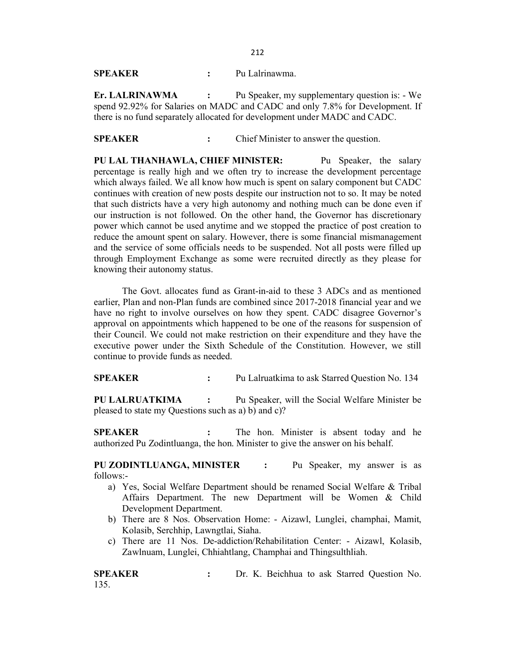212

212<br>
SPEAKER : Pu Lalrinawma.<br>
Er. LALRINAWMA : Pu Speaker, my supplementary question is: - We<br>
spend 92.92% for Salaries on MADC and CADC and only 7.8% for Development. If<br>
there is no fund separately allocated for develo Er. LALRINAWMA : Pu Speaker, my supplementary question is: - We spend 92.92% for Salaries on MADC and CADC and only 7.8% for Development. If there is no fund separately allocated for development under MADC and CADC.

212<br>
SPEAKER : Pu Lalrinawma.<br>
Er. LALRINAWMA : Pu Speaker, my supplementary question is: - We<br>
spend 92.92% for Salaries on MADC and CADC and only 7.8% for Development. If<br>
there is no fund separately allocated for develo **SPEAKER** : Pu Lalrinawma.<br> **Er. LALRINAWMA** : Pu Speaker, my supplementary question is: - We spend 92.92% for Salaries on MADC and CADC and only 7.8% for Development. If there is no fund separately allocated for developme percentage is really high and we often try to increase the development percentage which always failed. We all know how much is spent on salary component but CADC continues with creation of new posts despite our instruction not to so. It may be noted that such districts have a very high autonomy and nothing much can be done even if our instruction is not followed. On the other hand, the Governor has discretionary power which cannot be used anytime and we stopped the practice of post creation to reduce the amount spent on salary. However, there is some financial mismanagement and the service of some officials needs to be suspended. Not all posts were filled up through Employment Exchange as some were recruited directly as they please for knowing their autonomy status. **SPEAKER** : Pu Lalrinawma.<br> **ET. I.ALRINAWMA** : Pu Speaker, my supplementary question is: - We speaker in the Speaker and CADC and CADC and CADC and CADC cand can CADC and can CADC controls for Salaries on MADC and CADC c percentage is really high and we often try to increase the development percentage of the percentary and whore the percentary in the solution of the solutions with creation of new posts despite our instruction not to so. It

earlier, Plan and non-Plan funds are combined since 2017-2018 financial year and we have no right to involve ourselves on how they spent.CADC disagree Governor's approval on appointments which happened to be one of the reasons for suspension of their Council. We could not make restriction on their expenditure and they have the executive power under the Sixth Schedule of the Constitution. However, we still continue to provide funds as needed. power which cannot be used anytime and we stoped the paractic of post creation to<br>peduce the amount spent on salary. However, there is some financial misnanagement<br>and the service of some officials needs to be suspended. N

PU LALRUATKIMA : Pu Speaker, will the Social Welfare Minister be pleased to state my Questions such as a) b) and c)?

authorized Pu Zodintluanga, the hon. Minister to give the answeron his behalf.

PU ZODINTLUANGA, MINISTER : Pu Speaker, my answer is as follows:-

- a) Yes, Social Welfare Department should be renamed Social Welfare & Tribal Affairs Department. The new Department will be Women & Child Development Department. SPEAKER : Pu Lalruatkima to ask Starred Question No. 134<br>
PU LALRUATKIMA : Pu Speaker, will the Social Welfare Minister be<br>
pleased to state my Questions such as a) b) and c)?<br>
SPEAKER : The hon. Minister to give the answe
	- b) There are 8 Nos. Observation Home: Aizawl, Lunglei, champhai, Mamit, Kolasib, Serchhip, Lawngtlai, Siaha.
	- c) There are 11 Nos. De-addiction/Rehabilitation Center: Aizawl, Kolasib, Zawlnuam, Lunglei, Chhiahtlang, Champhai and Thingsulthliah.

135.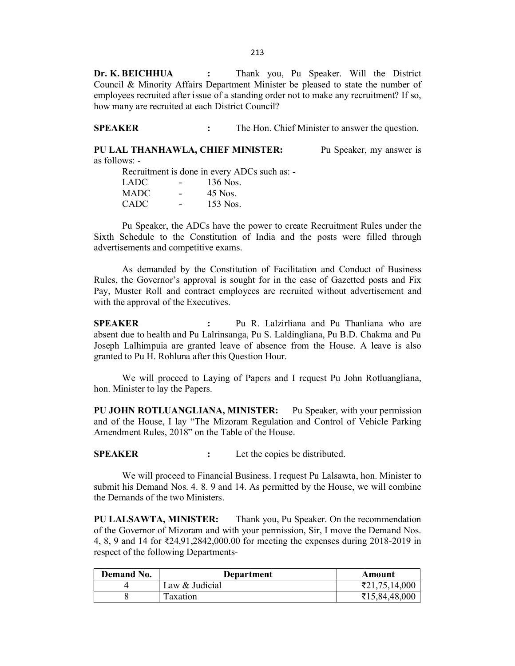213<br> **Dr. K. BEICHHUA** : Thank you, Pu Speaker. Will the District<br>
Council & Minority Affairs Department Minister be pleased to state the number of<br>
employees recruited after issue of a standing order not to make any recru Council & Minority Affairs Department Minister be pleased to state the number of employees recruited after issue of a standing order not to make any recruitment? If so, how many are recruited at each District Council? 213<br> **SPECHHUA** : Thank you, Pu Speaker. Will the District<br>
Council & Minority Affairs Department Minister be pleased to state the number of<br>
employees recruited after issue of a standing order not to make any recruitment? 213<br> **Dr. K. BEICHHUA** : Thank you, Pu Speaker. Will the District<br>
Council & Minority Affairs Department Minister be pleased to state the number of<br>
employees recruited after issue of a standing order not to make any recru 213<br> **Dr. K. BEICHHUA** : Thank you, Pu Speaker. Will the District<br>
Council & Minority Affairs Department Minister be pleased to state the number of<br>
how many are recruited after issue of a standing order not to make any re

as follows: -

Recruitment is done in every ADCs such as:-  $LADC$  - 136 Nos. MADC - 45 Nos. CADC - 153 Nos.

Sixth Schedule to the Constitution of India and the posts were filled through advertisements and competitive exams.

213<br> **Constitution Constitution Constitution** Constitution of Economial & Minority Affairs Department Minister be plassed to state the number of<br>
employees recruited after issue of a standing order not to make any recruit Rules, the Governor's approval is sought for in thecase of Gazetted posts and Fix Pay, Muster Roll and contract employees are recruited without advertisement and with the approval of the Executives.

**SPEAKER** : The Hon. Chief Minister to answer the question.<br> **PU LAL THANHAWLA, CHIEF MINISTER:** Pu Speaker, my answer is<br>
as follows:<br>
Recultivent is done in every ADCs such as:<br>
LADC - 155 Nos.<br>
CADC - 155 Nos.<br>
CADC absent due to health and Pu Lalrinsanga, Pu S. Laldingliana, Pu B.D. Chakma and Pu Joseph Lalhimpuia are granted leave of absence from the House. A leave is also granted to Pu H. Rohluna after this Question Hour. advertisements and competitive exams.<br>
As demanded by the Constitution of Facilitation and Conduct of Business<br>
Rules, the Governor's approval is sought for in the case of Gazetted posts and Fix<br>
Rules, the Governor's appr

We will proceed to Laying of Papers and I request Pu John Rotluangliana, hon. Minister to lay the Papers.

PU JOHN ROTLUANGLIANA, MINISTER: Pu Speaker, with your permission and of the House, I lay "The Mizoram Regulation and Control of Vehicle Parking Amendment Rules, 2018" on the Table of the House.

We will proceed to Financial Business. I request Pu Lalsawta, hon. Minister to submit his Demand Nos. 4. 8. 9 and 14. As permitted by the House, we will combine the Demands of the two Ministers.

PU LALSAWTA, MINISTER: Thank you, Pu Speaker. On the recommendation of the Governor of Mizoram and with your permission,Sir, I move the Demand Nos. 4, 8, 9 and 14 for ₹24,91,2842,000.00 for meeting the expenses during 2018-2019 in respect of the following Departments-

| Demand No. | Department     | Amount                      |
|------------|----------------|-----------------------------|
|            | Law & Judicial | \$21,75,14,000<br>$\mp$ 2.1 |
|            | axation        | ₹15,84,48,000               |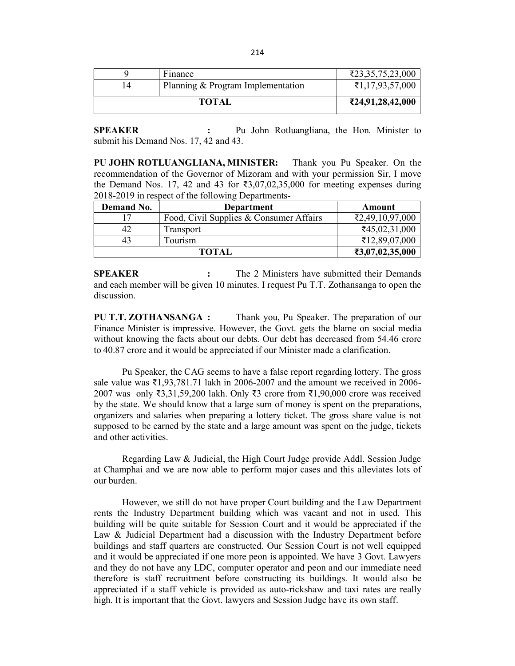|                | 214                                                                                                                      |                                                                                                                |
|----------------|--------------------------------------------------------------------------------------------------------------------------|----------------------------------------------------------------------------------------------------------------|
|                |                                                                                                                          |                                                                                                                |
| 9              | Finance                                                                                                                  | ₹23,35,75,23,000                                                                                               |
| 14             | Planning & Program Implementation                                                                                        | ₹1,17,93,57,000                                                                                                |
|                | <b>TOTAL</b>                                                                                                             | ₹24,91,28,42,000                                                                                               |
| <b>SPEAKER</b> | Pu John Rotluangliana, the Hon. Minister to<br>submit his Demand Nos. 17, 42 and 43.<br>PU JOHN ROTLUANGLIANA, MINISTER: | Thank you Pu Speaker. On the<br>recommendation of the Governor of Mizoram and with your permission Sir, I move |

| 9                             | Finance                                                                                                                                                                                                                                                                                                      | ₹23,35,75,23,000 |
|-------------------------------|--------------------------------------------------------------------------------------------------------------------------------------------------------------------------------------------------------------------------------------------------------------------------------------------------------------|------------------|
| 14                            | Planning & Program Implementation                                                                                                                                                                                                                                                                            | ₹1,17,93,57,000  |
|                               | <b>TOTAL</b>                                                                                                                                                                                                                                                                                                 | ₹24,91,28,42,000 |
| <b>SPEAKER</b>                | Pu John Rotluangliana, the Hon. Minister to                                                                                                                                                                                                                                                                  |                  |
|                               | submit his Demand Nos. 17, 42 and 43.                                                                                                                                                                                                                                                                        |                  |
|                               | <b>PU JOHN ROTLUANGLIANA, MINISTER:</b> Thank you Pu Speaker. On the<br>recommendation of the Governor of Mizoram and with your permission Sir, I move<br>the Demand Nos. 17, 42 and 43 for $\overline{\xi}3,07,02,35,000$ for meeting expenses during<br>2018-2019 in respect of the following Departments- |                  |
| Demand No.                    | Department                                                                                                                                                                                                                                                                                                   | <b>Amount</b>    |
|                               |                                                                                                                                                                                                                                                                                                              |                  |
| 17                            | Food, Civil Supplies & Consumer Affairs                                                                                                                                                                                                                                                                      | ₹2,49,10,97,000  |
| 42                            | Transport                                                                                                                                                                                                                                                                                                    | ₹45,02,31,000    |
| 43                            | Tourism                                                                                                                                                                                                                                                                                                      | ₹12,89,07,000    |
|                               | <b>TOTAL</b>                                                                                                                                                                                                                                                                                                 | ₹3,07,02,35,000  |
| <b>SPEAKER</b><br>discussion. | The 2 Ministers have submitted their Demands<br>and each member will be given 10 minutes. I request Pu T.T. Zothansanga to open the                                                                                                                                                                          |                  |

PU T.T. ZOTHANSANGA : Thank you, Pu Speaker. The preparation of our Finance Minister is impressive. However, the Govt. gets the blame on social media without knowing the facts about our debts. Our debt has decreased from 54.46 crore to 40.87 crore and it would be appreciated if our Minister made a clarification.

Pu Speaker, the CAG seems to have a false report regarding lottery. The gross sale value was  $\bar{\mathcal{L}}$ 1,93,781.71 lakh in 2006-2007 and the amount we received in 2006-2007 was only ₹3,31,59,200 lakh. Only ₹3 crore from ₹1,90,000 crore was received by the state. We should know that a large sum of money is spent on the preparations, organizers and salaries when preparing a lottery ticket. The gross share value is not supposed to be earned by the state and a large amount was spent on the judge, tickets and other activities.

Regarding Law & Judicial, the High Court Judge provide Addl. Session Judge at Champhai and we are now able to perform major cases and this alleviates lots of our burden.

However, we still do not have proper Court building and the Law Department rents the Industry Department building which was vacant and not in used. This building will be quite suitable for Session Court and it would be appreciated if the Law & Judicial Department had a discussion with the Industry Department before buildings and staff quarters are constructed. Our Session Court is not well equipped and it would be appreciated if one more peon is appointed. We have 3 Govt.Lawyers and they do not have any LDC, computer operator and peon and our immediate need therefore is staff recruitment before constructing its buildings. It would also be appreciated if a staff vehicle is provided as auto-rickshaw and taxi rates are really high. It is important that the Govt. lawyers and Session Judge have its own staff.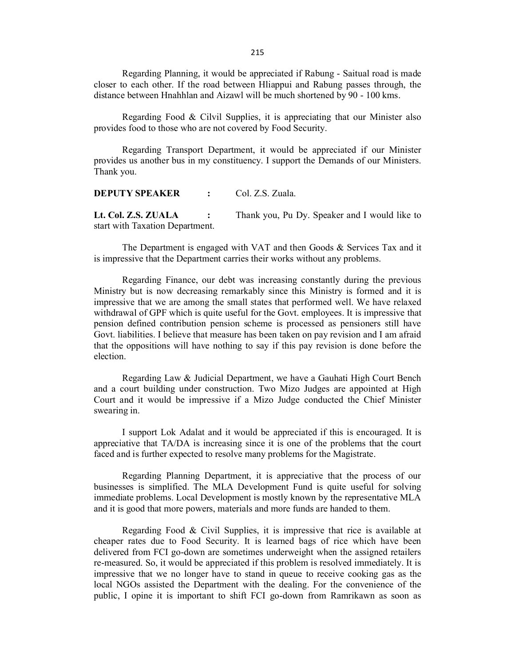Regarding Planning, it would be appreciated if Rabung - Saitual road is made closer to each other. If the road between Hliappui and Rabung passes through, the distance between Hnahhlan and Aizawl will be much shortened by 90 - 100 kms.

Regarding Food  $\&$  Cilvil Supplies, it is appreciating that our Minister also provides food to those who are not covered by Food Security.

Regarding Transport Department, it would be appreciated if our Minister provides us another bus in my constituency. I support the Demands of our Ministers. Thank you. 215<br>
Regarding Planning, it would be appreciated if Rabung - Saitual road is made<br>
tolcost to each other. If the road between Hinaphia and Aizawl will be much shortened by 90 - 100 kms.<br>
Regarding Food & Cilvil Supplies, i

| <b>DEPUTY SPEAKER</b> | Col. Z.S. Zuala. |  |
|-----------------------|------------------|--|
|                       |                  |  |

Lt. Col. Z.S. ZUALA : Thank you, Pu Dy. Speaker and I would like to start with Taxation Department.

is impressive that the Department carries their works without any problems.

Regarding Finance, our debt was increasing constantly during the previous Ministry but is now decreasing remarkably since this Ministry is formed and it is impressive that we are among thesmall states that performed well. We have relaxed withdrawal of GPF which is quite useful for the Govt. employees. It is impressive that pension defined contribution pension scheme is processed as pensioners still have Govt. liabilities. I believe that measure has been taken on pay revision and I am afraid that the oppositions will have nothing to say if this pay revision is done before the election.

Regarding Law & Judicial Department, we have a Gauhati High Court Bench and a court building under construction. Two Mizo Judgesare appointed at High Court and it would be impressive if a Mizo Judge conducted the Chief Minister swearing in.

I support Lok Adalat and it would be appreciated if this is encouraged. It is appreciative that TA/DA is increasing since it is one of the problems that the court faced and is further expected to resolve many problems for the Magistrate.

Regarding Planning Department, it is appreciative that the process of our businesses is simplified. The MLA Development Fund is quite useful for solving immediate problems. Local Development is mostly known by the representative MLA and it is good that more powers, materials and more funds are handed to them.

Regarding Food & Civil Supplies, it is impressive that rice is available at cheaper rates due to Food Security. It is learned bags of rice which have been delivered from FCI go-down are sometimes underweight when the assigned retailers re-measured. So, it would be appreciated if this problem is resolved immediately. It is impressive that we no longer have to stand in queue to receive cooking gas as the local NGOs assisted the Department with the dealing. For the convenience of the public, I opine it is important to shift FCI go-down from Ramrikawn as soon as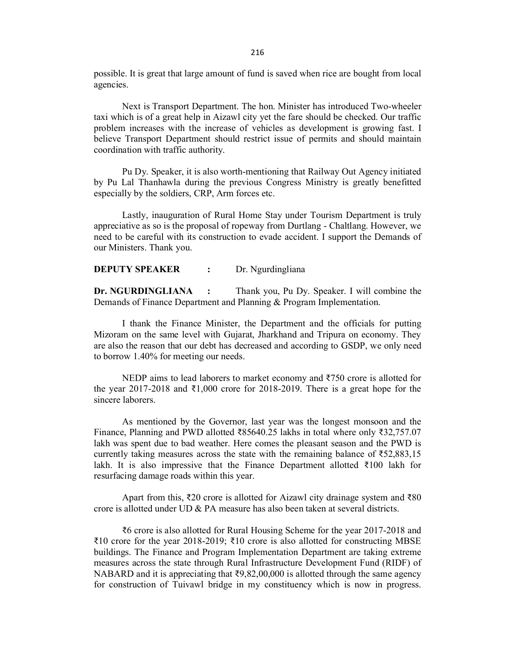possible. It is great that large amount of fund is saved when rice are bought from local agencies.

Next is Transport Department. The hon. Minister has introduced Two-wheeler taxi which is of a great help in Aizawl city yet the fare should be checked. Our traffic problem increases with the increase of vehicles as development is growing fast. I believe Transport Department should restrict issue of permits and should maintain coordination with traffic authority.

Pu Dy. Speaker, it is also worth-mentioning that Railway Out Agency initiated by Pu Lal Thanhawla during the previous Congress Ministry is greatly benefitted especially by the soldiers, CRP, Arm forces etc.

Lastly, inauguration of Rural Home Stay under Tourism Department is truly appreciative as so is the proposal of ropeway from Durtlang - Chaltlang. However, we need to be careful with its construction to evade accident. I support the Demands of our Ministers. Thank you.

**DEPUTY SPEAKER** : Dr. Ngurdingliana

Dr. NGURDINGLIANA : Thank you, Pu Dy. Speaker. I will combine the Demands of Finance Department and Planning & Program Implementation.

I thank the Finance Minister, the Department and the officials for putting Mizoram on the same level with Gujarat, Jharkhand and Tripura on economy. They are also the reason that our debt has decreased and according to GSDP, we only need to borrow 1.40% for meeting our needs.

NEDP aims to lead laborers to market economy and ₹750 crore is allotted for the year 2017-2018 and  $\bar{\tau}1,000$  crore for 2018-2019. There is a great hope for the sincere laborers.

As mentioned by the Governor, last year was the longest monsoon and the Finance, Planning and PWD allotted ₹85640.25 lakhs in totalwhere only ₹32,757.07 lakh was spent due to bad weather. Here comes the pleasant season and the PWD is currently taking measures across the state with the remaining balance of  $\overline{52,883,15}$ lakh. It is also impressive that the Finance Department allotted ₹100 lakh for resurfacing damage roads within this year.

Apart from this, ₹20 crore is allotted for Aizawl city drainage system and ₹80 crore is allotted under UD  $\&$  PA measure has also been taken at several districts.

₹6 crore is also allotted for Rural Housing Scheme for the year 2017-2018 and ₹10 crore for the year 2018-2019; ₹10 crore is also allotted for constructing MBSE buildings. The Finance and Program Implementation Department are taking extreme measures across the state through Rural Infrastructure Development Fund (RIDF) of NABARD and it is appreciating that  $\overline{59,82,00,000}$  is allotted through the same agency for construction of Tuivawl bridge in my constituency which is now in progress.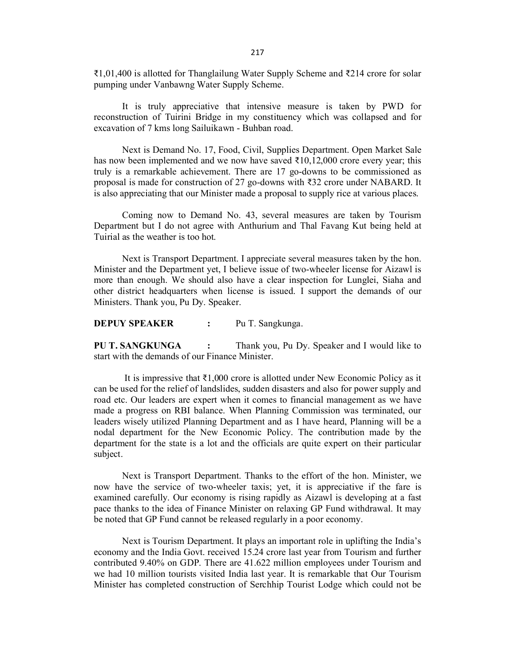₹1,01,400 is allotted for Thanglailung Water Supply Scheme and ₹214 crore for solar pumping under Vanbawng Water Supply Scheme.

It is truly appreciative that intensive measure is taken by PWD for reconstruction of Tuirini Bridge in my constituency which was collapsed and for excavation of 7 kms long Sailuikawn - Buhban road.

Next is Demand No. 17, Food, Civil, Supplies Department. Open Market Sale has now been implemented and we now have saved  $\text{\textdegree{10}},12,000$  crore every year; this truly is a remarkable achievement. There are 17 go-downs to be commissioned as proposal is made for construction of 27 go-downs with ₹32 crore under NABARD. It is also appreciating that our Minister made a proposal to supply rice at various places.

Coming now to Demand No. 43, several measures are taken by Tourism Department but I do not agree with Anthurium and Thal Favang Kut being held at Tuirial as the weather is too hot.

Next is Transport Department. I appreciate several measures taken by the hon. Minister and the Department yet, I believe issue of two-wheeler license for Aizawlis more than enough. We should also have a clear inspection for Lunglei, Siaha and other district headquarters when license is issued. I support the demands of our Ministers. Thank you, Pu Dy. Speaker. reconstruction of Tuirini Bridge in my constituency which was collapsed and for<br>excavation of 7 kms long Saliukawn - Bubhan road.<br>Next is Demand No. 17, Food, Civil, Supplies Department. Open Market Sale<br>has now been imple

PU T. SANGKUNGA : Thank you, Pu Dy. Speaker and I would like to start with the demands of our Finance Minister.

The same than the content and we now have saved ₹10,12,000 crore every year<br>truly is a remarkable achievement. There are 17 go-downs to be commission<br>proposal is made for construction of 27 go-downs with ₹33 crore under N It is in a remarkable achievement. There are 17 go-downs to be commissioned as<br>proposal is made for construction of 27 go-downs with ₹32 crore under NABARD. It<br>is also appreciating that our Minister made a proposal to sup can be used forthe relief of landslides, sudden disasters and also for power supply and road etc. Our leaders are expert when it comes to financial management as we have made a progress on RBI balance. When Planning Commission was terminated, our leaders wisely utilized Planning Department and as I have heard, Planning will be a nodal department for the New Economic Policy. The contribution made by the department for the state is a lot and theofficials are quite expert on their particular subject.<br>Next is Transport Department. Thanks to the effort of the hon. Minister, we

now have the service of two-wheeler taxis; yet, it is appreciative if the fare is examined carefully. Our economy is rising rapidly as Aizawl is developing at a fast pace thanks to the idea of Finance Minister on relaxing GP Fund withdrawal. It may be noted that GP Fund cannot be released regularly in a poor economy.

Next is Tourism Department. It plays an important role in uplifting the India's economy and the India Govt. received 15.24 crore last year from Tourism and further contributed 9.40% on GDP. There are 41.622 million employees under Tourism and we had 10 million tourists visited India last year. It is remarkable that Our Tourism Minister has completed construction of Serchhip Tourist Lodge which could not be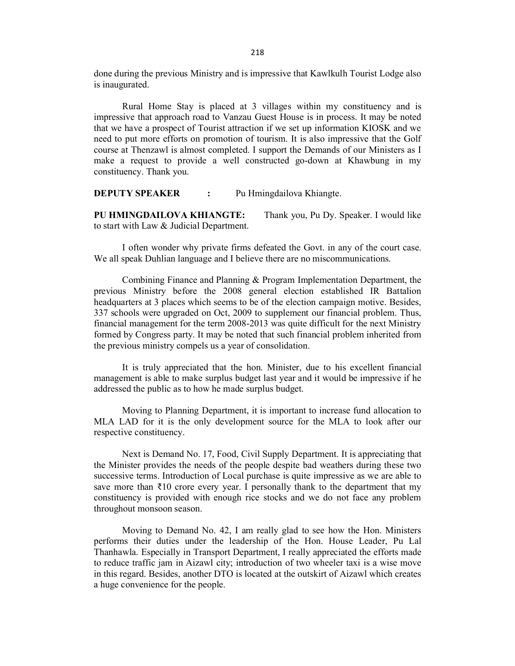done during the previous Ministry and is impressive that Kawlkulh Tourist Lodge also is inaugurated.

Rural Home Stay is placed at 3 villages within my constituency and is impressive that approach road to Vanzau Guest House is in process. It may be noted that we have a prospect of Tourist attraction if we set up information KIOSK and we need to put more efforts on promotion of tourism. It is also impressive that the Golf course at Thenzawl is almost completed. I support the Demands of our Ministers as I make a request to provide a well constructed go-down at Khawbung in my constituency. Thank you.

**DEPUTY SPEAKER :** Pu Hmingdailova Khiangte.

PU HMINGDAILOVA KHIANGTE: Thank you, Pu Dy. Speaker. I would like to start with Law & Judicial Department.

I often wonder why private firms defeated the Govt. in any of the court case. We all speak Duhlian language and I believe there are no miscommunications.

Combining Finance and Planning & Program Implementation Department, the previous Ministry before the 2008 general election established IR Battalion headquarters at 3 places which seems to be of the election campaign motive. Besides, 337 schools were upgraded on Oct, 2009 to supplement our financial problem. Thus, financial management for the term 2008-2013 was quite difficult for the next Ministry formed by Congress party. It may be noted that such financial problem inherited from the previous ministry compels us a year of consolidation.

It is truly appreciated that the hon. Minister, due to his excellent financial management is able to make surplus budget last year and it would be impressive if he addressed the public as to how he made surplus budget.

Moving to Planning Department, it is important to increase fund allocation to MLA LAD for it is the only development source for the MLA to look after our respective constituency.

Next is Demand No. 17, Food, Civil Supply Department. It is appreciating that the Minister provides the needs of the people despite bad weathers during these two successive terms. Introduction of Local purchase is quite impressive as we are able to save more than  $\bar{\tau}10$  crore every year. I personally thank to the department that my constituency is provided with enough rice stocks and wedo not face any problem throughout monsoon season.

Moving to Demand No. 42, I am really glad to see how the Hon. Ministers performs their duties under the leadership of the Hon. House Leader, Pu Lal Thanhawla. Especially in Transport Department, I really appreciated the efforts made to reduce traffic jam in Aizawl city; introduction of two wheeler taxi is a wise move in this regard. Besides, another DTO is located at the outskirt of Aizawl which creates a huge convenience for the people.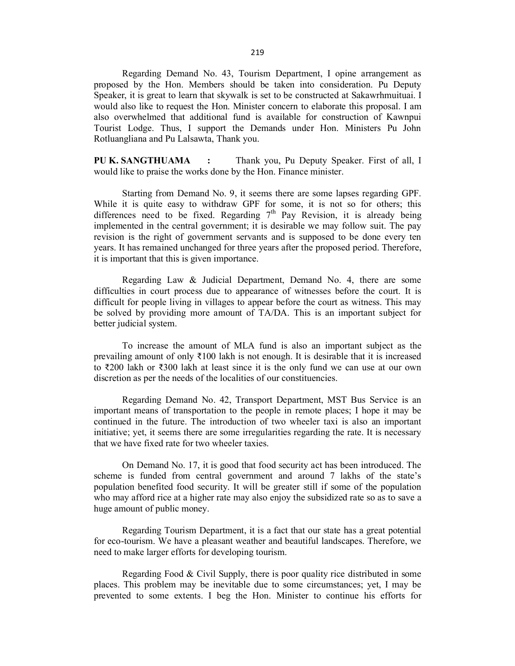Regarding Demand No. 43, Tourism Department, I opine arrangement as proposed by the Hon. Members should be taken into consideration. Pu Deputy Speaker, it is great to learn that skywalk is set to be constructed at Sakawrhmuituai. I would also like to request the Hon. Minister concern to elaborate this proposal. I am also overwhelmed that additional fund is available for construction of Kawnpui Tourist Lodge. Thus, I support the Demands under Hon. Ministers Pu John Rotluangliana and Pu Lalsawta, Thank you.

PU K. SANGTHUAMA : Thank you, Pu Deputy Speaker. First of all, I would like to praise the works done by the Hon. Finance minister.

 Starting from Demand No. 9, it seems there are some lapses regarding GPF. While it is quite easy to withdraw GPF for some, it is not so for others; this differences need to be fixed. Regarding  $7<sup>th</sup>$  Pay Revision, it is already being implemented in the central government; it is desirable we may follow suit. The pay revision is the right of government servants and is supposed to be done every ten years. It has remained unchanged for three years after the proposed period. Therefore, it is important that this is given importance. Regarding Demand No. 43, Tourism Department, I opine arrangement as<br>Spoeake by the Hon. Members should be taken into consideration. Pu Deputy<br>Speaker, it is great to learn that skywalk is set to be constructed at Sakawhmu Tourist Lodge. Thus, I support the Demands under Hon. Ministers Pu John Rothuangliana and Pu Lalsawta, Thank you, Pu Deputy Speaker. First of all, I<br>Would like to praise the works done by the Hon. Finance mimister.<br>Starti Starting from Demand No. 9, it seems there are some lapses regarding GPF.<br>While it is quite easy to withdraw GPF for some, it is and so for others, this<br>differences need to be firsed. Regarding  $7^{\text{th}}$  Pay Revision, it

difficulties in court process due to appearance of witnesses before the court. It is difficult for people living in villages to appear before the court as witness. This may be solved by providing more amount of TA/DA. This is an important subject for better judicial system.

prevailing amount of only ₹100 lakh is not enough. It is desirable that it is increased to ₹200 lakh or ₹300 lakh at least since it is the only fund wecan use at our own discretion as per the needs of the localities of our constituencies.

important means of transportation to the people in remote places; I hope it may be continued in the future. The introduction of two wheeler taxi is also an important initiative; yet, it seems there are some irregularities regarding the rate. It is necessary that we have fixed rate for two wheeler taxies.

On Demand No. 17, it is good that food security act has been introduced. The scheme is funded from central government and around 7 lakhs of the state's population benefited food security. It will be greater still if some of the population who may afford rice at a higher rate may also enjoy the subsidized rate so as to save a huge amount of public money.

Regarding Tourism Department, it is a fact that our state has a great potential for eco-tourism. We have a pleasant weather and beautiful landscapes. Therefore, we need to make larger efforts for developing tourism.

Regarding Food & Civil Supply, there is poorquality rice distributed in some places. This problem may be inevitable due to some circumstances; yet, I may be prevented to some extents. I beg the Hon. Minister to continue his efforts for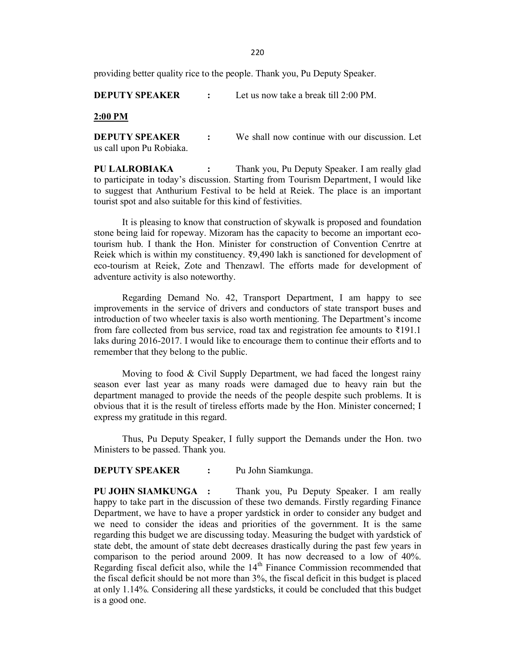220

providing better quality rice to the people. Thank you, Pu Deputy Speaker.

DEPUTY SPEAKER : Let us now take a break till 2:00 PM.

2:00 PM

**DEPUTY SPEAKER** : We shall now continue with our discussion. Let us call upon Pu Robiaka.

220<br>
Providing better quality rice to the people. Thank you, Pu Deputy Speaker.<br> **DEPUTY SPEAKER** : Let us now take a break till 2:00 PM.<br> **2:00 PM**<br> **2:00 PM**<br> **2:00 PM**<br> **2:00 PM**<br> **2:00 PM**<br> **2:00 PM**<br> **2:00 PM**<br> **2:00** to participate in today's discussion. Starting from Tourism Department, I would like to suggest that Anthurium Festival to be held at Reiek. The place is an important tourist spot and also suitable for this kind of festivities.

It is pleasing to know that construction of skywalk is proposed and foundation stone being laid for ropeway. Mizoram has the capacity to become an important ecotourism hub. I thank the Hon. Minister for construction of Convention Cenrtre at Reiek which is within my constituency.  $\overline{x}9,490$  lakh is sanctioned for development of eco-tourism at Reiek, Zote and Thenzawl. The efforts made for development of adventure activity is also noteworthy. **PU LALROBIAKA** : Thank you, Pu Deputy Speaker. I am really glad to participate in today's discussion. Starting from Tourism Department, I would like to suggest that Anthurium Festival to be held at Reide. The place is an It is pleasing to know that construction of skywalk is proposed and foundation<br>stone being laid for ropeway. Mizoram has the capacity to become an important eco-<br>tourism hub. I thank the Hon. Minister for construction of C

Regarding Demand No. 42, Transport Department, I am happy to see improvements in the service of drivers and conductors of state transport buses and introduction of two wheeler taxis is also worth mentioning. The Department's income from fare collected from bus service, road tax and registration fee amounts to ₹191.1 laks during 2016-2017. I would like to encourage them to continue their efforts and to remember that they belong to the public.

season ever last year as many roads were damaged due to heavy rain but the department managed to provide the needs of the people despite such problems. It is obvious that it is the result of tireless efforts made by the Hon. Minister concerned; I express my gratitude in this regard.

Ministers to be passed. Thank you.

DEPUTY SPEAKER : Pu John Siamkunga.

PU JOHN SIAMKUNGA : Thank you, Pu Deputy Speaker. I am really happy to take part in the discussion of these two demands. Firstly regarding Finance Department, we have to have a proper yardstick in order to consider any budget and we need to consider the ideas and priorities of the government. It is the same regarding this budget we are discussing today. Measuring the budget with yardstick of state debt, the amount of state debt decreases drastically during the past few years in comparison to the period around 2009. It has now decreased to a low of 40%. Regarding fiscal deficit also, while the 14<sup>th</sup> Finance Commission recommended that the fiscal deficit should be not more than 3%, the fiscal deficit in this budget is placed at only 1.14%. Considering all these yardsticks, it could be concluded that this budget is a good one.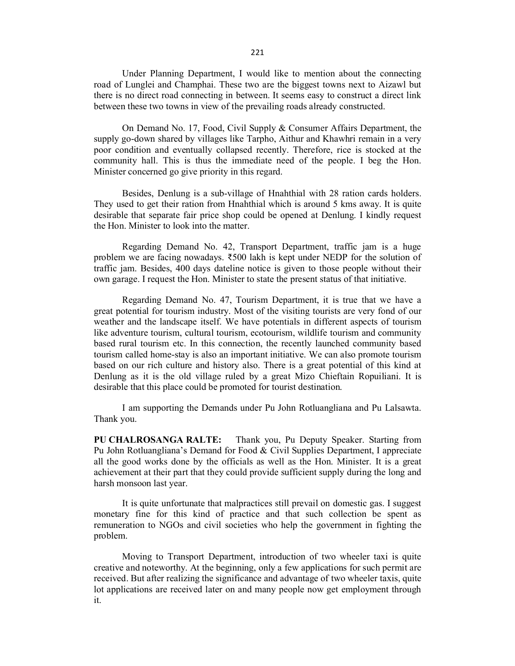Under Planning Department, I would like to mention about the connecting road of Lunglei and Champhai. These two are the biggest towns next to Aizawl but there is no direct road connecting in between. It seems easy to construct a direct link between these two towns in view of the prevailing roads already constructed.

221<br>
Under Planning Department, I would like to mention about the connecting<br>
road of Lunglei and Champhai. These two are the biggest towns next to Aizawl but<br>
there is no direct road connecting in between. It seems easy t supply go-down shared by villages like Tarpho, Aithur and Khawhri remain in a very poor condition and eventually collapsed recently. Therefore, rice is stocked at the community hall. This is thus the immediate need of the people. I beg the Hon. Minister concerned go give priority in this regard. 221<br>
Under Planning Department, I would like to mention about the connecting<br>
frond of Lunglei and Champhai. These two are the biggest towns next to Aizawl but<br>
there is no direct road connecting in between. It seems easy

They used to get their ration from Hnahthial which is around 5 kms away. It is quite desirable that separate fair price shop could be opened at Denlung. I kindly request the Hon. Minister to look into the matter.

Regarding Demand No. 42, Transport Department, traffic jam is a huge problem we are facing nowadays.  $\overline{3500}$  lakh is kept under NEDP for the solution of traffic jam. Besides, 400 days dateline notice is given to those people without their own garage. I request the Hon. Minister to state the present status of that initiative.

Regarding Demand No. 47, Tourism Department, it is true that we have a great potential for tourism industry. Most of the visiting tourists are very fond of our weather and the landscape itself. We have potentials in different aspects of tourism like adventure tourism, cultural tourism, ecotourism, wildlife tourism and community based rural tourism etc. In this connection, the recently launched community based tourism called home-stay is also an important initiative. We can also promote tourism based on our rich culture and history also. There is a great potential of this kind at Denlung as it is the old village ruled by a great Mizo Chieftain Ropuiliani. It is desirable that this place could be promoted for tourist destination.

I am supporting the Demands under Pu John Rotluangliana and Pu Lalsawta. Thank you.

PU CHALROSANGA RALTE: Thank you, Pu Deputy Speaker. Starting from Pu John Rotluangliana's Demand for Food & Civil Supplies Department, I appreciate all the good works done by the officials as well as the Hon.Minister. It is a great achievement at their part that they could provide sufficient supply during the long and harsh monsoon last year.

It is quite unfortunate that malpractices still prevail on domestic gas. I suggest monetary fine for this kind of practice and that such collection be spent as remuneration to NGOs and civil societies who help the government in fighting the problem.

Moving to Transport Department, introduction of two wheeler taxi is quite creative and noteworthy. Atthe beginning, only a few applications for such permit are received. But after realizing the significance and advantage of two wheeler taxis, quite lot applications are received later on and many people now get employment through it.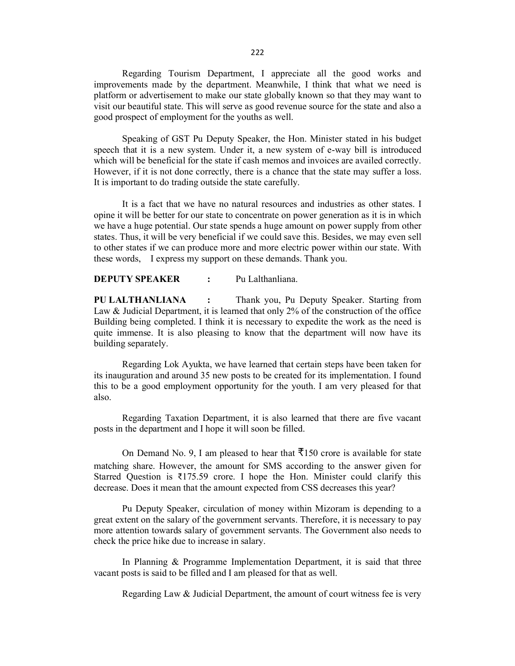Regarding Tourism Department, I appreciate all the good works and improvements made by the department. Meanwhile, I think that what we need is platform or advertisement to make our state globally known so that they may want to visit our beautiful state. This will serve as good revenue source for the state and also a good prospect of employment for the youths as well.

Speaking of GST Pu Deputy Speaker, the Hon. Minister stated in his budget speech that it is a new system.Under it, a new system of e-way bill is introduced which will be beneficial for the state if cash memos and invoices are availed correctly. However, if it is not done correctly, there is a chance that the state may suffer a loss. It is important to do trading outside the state carefully.

It is a fact that we have no natural resources and industries as other states. I opine it will be better for our state to concentrate on power generation as it is in which we have a huge potential. Our state spends a huge amount on power supply from other states. Thus, it will be very beneficial if we could save this. Besides, we may even sell to other states if we can produce more and more electric power within our state.With these words, I express my support on these demands. Thank you.

### DEPUTY SPEAKER : Pu Lalthanliana.

PU LALTHANLIANA : Thank you, Pu Deputy Speaker. Starting from Law & Judicial Department, it is learned that only 2% of the construction of the office Building being completed. I think it is necessary to expedite the work as the need is quite immense. It is also pleasing to know that the department will now have its building separately.

Regarding Lok Ayukta, we have learned that certain steps have been taken for its inauguration and around 35 new posts to be created for its implementation. I found this to be a good employment opportunity for the youth. I am very pleased for that also.

Regarding Taxation Department, it is also learned that there are five vacant posts in the department and I hope it will soon be filled.

On Demand No. 9, I am pleased to hear that  $\overline{3}150$  crore is available for state matching share. However, the amount for SMS according to the answer given for Starred Question is ₹175.59 crore. I hope the Hon. Minister could clarify this decrease. Does it mean that the amount expected from CSS decreases this year?

Pu Deputy Speaker, circulation of money within Mizoram is depending to a great extent on the salary of the government servants. Therefore, it is necessary to pay more attention towards salary of government servants. The Government also needs to check the price hike due to increase in salary.

In Planning & Programme Implementation Department, it is said that three vacant posts is said to be filled and I am pleased for that as well.

Regarding Law & Judicial Department, the amount of court witness fee is very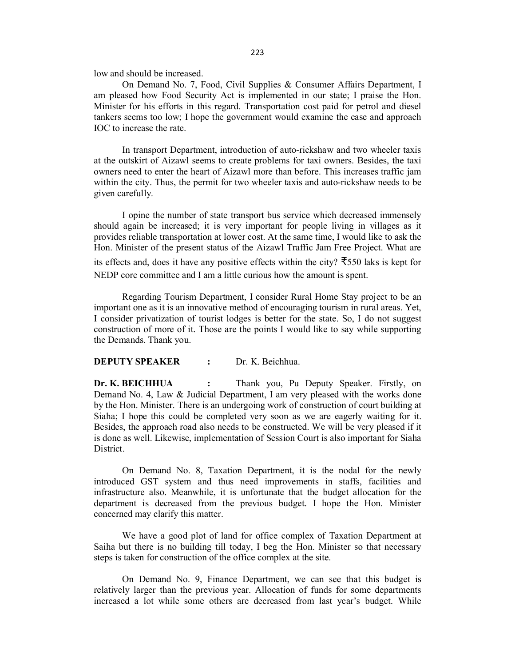low and should be increased.

On Demand No. 7, Food, Civil Supplies & Consumer Affairs Department, I am pleased how Food Security Act is implemented in our state; I praise the Hon. Minister for his efforts in this regard. Transportation cost paid for petrol and diesel tankers seems too low; I hope the government would examine the case and approach IOC to increase the rate.

In transport Department, introduction of auto-rickshaw and two wheeler taxis at the outskirt of Aizawl seems to create problems for taxi owners. Besides, the taxi owners need to enter the heart of Aizawl more than before. This increases traffic jam within the city. Thus, the permit for two wheeler taxis and auto-rickshaw needs to be given carefully.

I opine the number of state transport bus service which decreased immensely should again be increased; it is very important for people living in villages as it provides reliable transportation at lower cost. At the same time, I would like to ask the Hon. Minister of the present status of the Aizawl Traffic Jam Free Project. What are its effects and, does it have any positive effects within the city?  $\overline{5}550$  laks is kept for NEDP core committee and I am a little curious how the amount is spent.

Regarding Tourism Department, I consider Rural Home Stay project to be an important one as it is an innovative method of encouraging tourism in rural areas. Yet, I consider privatization of tourist lodges is better for the state. So, I do not suggest construction of more of it. Those are the points I would like to say while supporting the Demands. Thank you.

### DEPUTY SPEAKER : Dr. K. Beichhua.

within the city. Thus, the permit for two wheeler taxis and auto-rickshaw needs to be<br>
given carefully.<br>
I opine the number of state transport bus service which decreased immensely<br>
should again be increased; it is very im Demand No. 4, Law & Judicial Department, I am very pleased with the works done by the Hon. Minister. There is an undergoing work of construction of court building at Siaha; I hope this could be completed very soon as we are eagerly waiting for it. Besides, the approach road also needs to be constructed. We will be very pleased if it is done as well. Likewise, implementation of Session Court is also important for Siaha District.

On Demand No. 8, Taxation Department, it is the nodal for the newly introduced GST system and thus need improvements in staffs, facilities and infrastructure also. Meanwhile, it is unfortunate that the budget allocation for the department is decreased from the previous budget. I hope the Hon. Minister concerned may clarify this matter.

We have a good plot of land for office complex of Taxation Department at Saiha but there is no building till today, I beg the Hon. Minister so that necessary steps is taken for construction of the office complex at the site.

On Demand No. 9, Finance Department, we can see that this budget is relatively larger than the previous year. Allocation of funds for some departments increased a lot while some others are decreased from last year's budget. While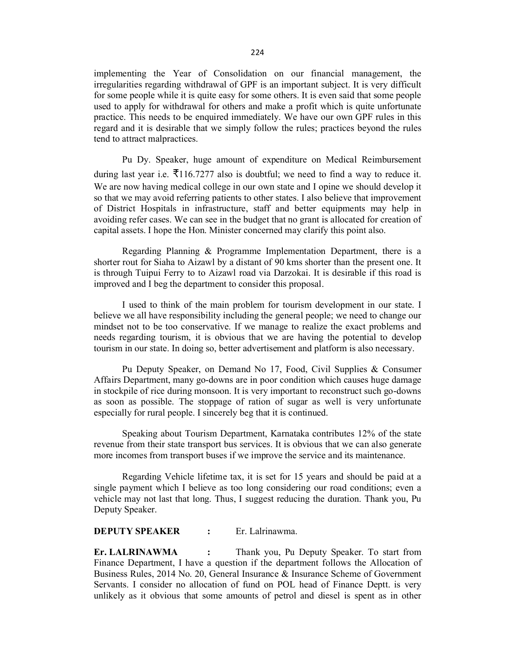implementing the Year of Consolidation on our financial management, the irregularities regarding withdrawal of GPF is an important subject. It is very difficult for some people while it is quite easy for some others. It is even said that some people used to apply for withdrawal for others and make a profit which is quite unfortunate practice. This needs to be enquired immediately. We have our own GPF rules in this regard and it is desirable that we simply follow the rules; practices beyond therules tend to attract malpractices.

Pu Dy. Speaker, huge amount of expenditure on Medical Reimbursement during last year i.e.  $\bar{\xi}$ 116.7277 also is doubtful; we need to find a way to reduce it. We are now having medical college in our own state and I opine we should develop it so that we may avoid referring patients to other states. I also believe that improvement of District Hospitals in infrastructure, staff and better equipments may help in avoiding refer cases. We can see in the budget that no grant is allocated for creation of capital assets. I hope the Hon. Minister concerned may clarify this point also.

Regarding Planning & Programme Implementation Department, there is a shorter rout for Siaha to Aizawl by a distant of 90 kms shorter than the present one. It is through Tuipui Ferry to to Aizawl road viaDarzokai. It is desirable if this road is improved and I beg the department to consider this proposal.

I used to think of the main problem for tourism development in our state. I believe we all have responsibility including the general people; we need to change our mindset not to be too conservative. If we manage to realize the exact problems and needs regarding tourism, it is obvious that we are having the potential to develop tourism in our state. In doing so, better advertisement and platform is also necessary.

Pu Deputy Speaker, on Demand No 17, Food, Civil Supplies & Consumer Affairs Department, many go-downs are in poor condition which causes huge damage in stockpile of rice during monsoon. It is very important to reconstruct such go-downs as soon as possible. The stoppage of ration of sugar as well is very unfortunate especially for rural people. I sincerely beg that it is continued.

 Speaking about Tourism Department, Karnataka contributes 12% of the state revenue from their state transport bus services. It is obvious that we can also generate more incomes from transport buses if we improve the service and its maintenance.

Regarding Vehicle lifetime tax, it is set for 15 years and should be paid at a single payment which I believe as too long considering our road conditions; even a vehicle may not last that long. Thus, I suggest reducing the duration. Thank you, Pu Deputy Speaker.

### DEPUTY SPEAKER : Er. Lalrinawma.

Er. LALRINAWMA : Thank you, Pu Deputy Speaker. To start from Finance Department, I have a question if the department follows the Allocation of Business Rules, 2014 No. 20, General Insurance & Insurance Scheme of Government Servants. I consider no allocation of fund on POL head of Finance Deptt. is very unlikely as it obvious that some amounts of petrol and diesel is spent as in other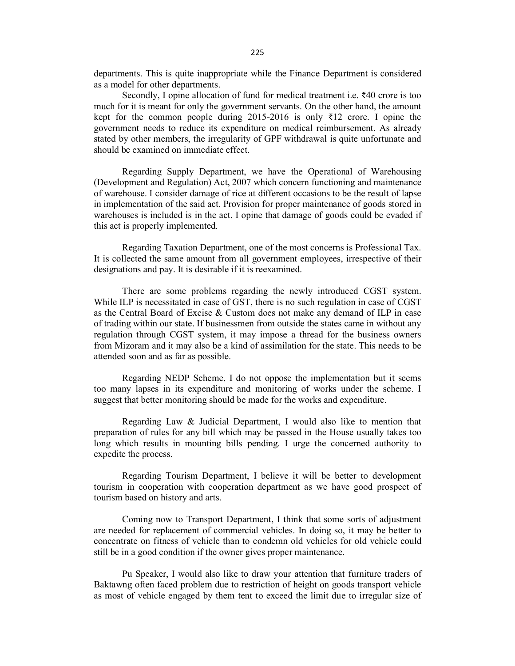departments. This is quite inappropriate while the Finance Department is considered as a model for other departments.

Secondly, I opine allocation of fund for medical treatment i.e.  $\bar{\xi}40$  crore is too much for it is meant for only the government servants. On the other hand, the amount kept for the common people during 2015-2016 is only  $\bar{\tau}$ 12 crore. I opine the government needs to reduce its expenditure on medical reimbursement. As already stated by other members, the irregularity of GPF withdrawal is quite unfortunate and should be examined on immediate effect.

Regarding Supply Department, we have the Operational of Warehousing (Development and Regulation) Act, 2007 which concern functioning and maintenance of warehouse. I consider damage of rice at different occasions to be the result of lapse in implementation of the said act. Provision for proper maintenance of goods stored in warehouses is included is in the act. I opine that damage of goods could be evaded if this act is properly implemented. 225<br>
225<br>
adepartments. This is quite inappropriate while the Finance Department is considered<br>
as a model for other departments.<br>
Secondly, I opine allocation of fiund for medical treatment i.e. 740 crore is too<br>
Secondy, departments. This is quite imappropriate while the Finance Department is considered<br>as a model for other departments. Secondly, I opine allocation of fund for medical treatment i.e. ₹40 crore is too<br>much for it is meant fo

It is collected the same amount from all government employees, irrespective of their designations and pay. It is desirable if it is reexamined.

While ILP is necessitated in case of GST, there is no such regulation in case of CGST as the Central Board of Excise  $&$  Custom does not make any demand of ILP in case of trading within our state. If businessmen from outside the states came in without any regulation through CGST system, it may impose a thread for the business owners from Mizoram and it may also be a kind of assimilation for the state. This needs to be attended soon and as far as possible. Regarding Supply Department, we have the Operational of Warehousing<br>(Development and Regulation) Act, 2007 which concern functioning and maintenance<br>of warehouse. I consider damage of rios at different occasions to be the in implementation of the said act. Provision for proper maintenance of goods stored in<br>warehouses is included is in the act. I opine that damage of goods could be evaded if<br>this act is properly implemented.<br>
Regarding Taxa It is collected the same amount from all government employees, irrespective of their<br>designoins and pay. It is desirable if it is reexamined.<br>There are some problems regarding the newly introduced CGST system.<br>While ILP is While ILP is necessitated in case of GST, there is no such regulation in case of CGST<br>as the Central Board of Excise & Custom does not make any demand of ILP in case<br>of trading within our state. If businessmen from outsid

too many lapses in its expenditure and monitoring of works under the scheme. I suggest that better monitoring should be made for the works and expenditure.

preparation of rules for any bill which may be passed in the House usually takes too long which results in mounting bills pending. I urge the concerned authority to expedite the process.

tourism in cooperation with cooperation department as we have good prospect of tourism based on history and arts.

are needed for replacement of commercial vehicles. In doing so, it may be better to concentrate on fitness of vehicle than to condemn old vehicles for old vehicle could still be in a good condition if the owner gives proper maintenance.

 Pu Speaker, I would also like to draw your attention that furniture traders of Baktawng often faced problem due to restriction of height on goods transport vehicle as most of vehicle engaged by them tent to exceed thelimit due to irregular size of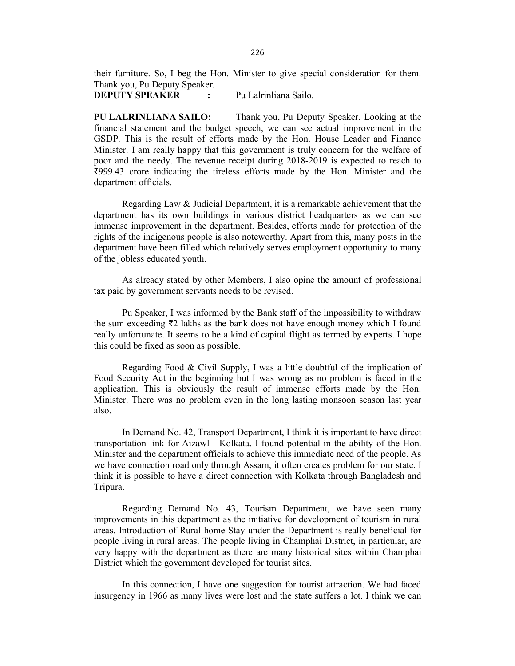their furniture. So, I beg the Hon. Minister to give special consideration for them. Thank you, Pu Deputy Speaker.

DEPUTY SPEAKER : Pu Lalrinliana Sailo.

PU LALRINLIANA SAILO: Thank you, Pu Deputy Speaker. Looking at the financial statement and the budget speech, we can see actual improvement in the GSDP. This is the result of efforts made by the Hon. House Leader and Finance Minister. I am really happy that this government is truly concern for the welfare of poor and the needy. The revenue receipt during 2018-2019 is expected to reach to ₹999.43 crore indicating the tireless efforts made by the Hon. Minister and the department officials. 226<br>
Thank you, Pu Deputy Speaker.<br>
Thank you, Pu Deputy Speaker.<br>
Thank you, Pu Deputy Speaker.<br>
Pu Lalrinliana Sailo.<br>
PU LALRINLIANA SAILO: Thank you, Pu Deputy Speaker. Looking at the<br>
financial statement and the budge their furniture. So, I beg the Hon. Minister to give special consideration for them.<br>
Thank you, Pu Deputy Speaker. Pu Lalrinliana Sailo.<br>
PU LALRINLIANA SAILO: Thank you, Pu Deputy Speaker. Looking at the financial statem **DEPUTY SPEAKER** : Pu Lalrinliana Sailo.<br>
PU LALRINI.IANA SAILO: Thank you, Pu Deputy Speaker. Looking at the financial statement and the budget speech, we can see actual improvement in the GSDP. This is the result of eff

department has its own buildings in various district headquarters as we can see immense improvement in the department. Besides, efforts made for protection of the rights of the indigenous people is also noteworthy. Apart from this, many posts in the department have been filled which relatively serves employment opportunity to many of the jobless educated youth.

tax paid by government servants needs to be revised.

the sum exceeding ₹2 lakhs as the bank does not have enough money which I found really unfortunate. It seems to be a kind of capital flight as termed by experts. I hope this could be fixed as soon as possible.

Regarding Food & Civil Supply, I was a little doubtful of the implication of Food Security Act in the beginning but I was wrong as no problem is faced in the application. This is obviously the result of immense efforts made by the Hon. Minister. There was no problem even in thelong lasting monsoon season last year also.

department has it so won buildings in various district headquarters as we can see<br>immense improvement in the department. Besides, efforts made for protection of the<br>rights of the indigenous people is also noteworthy. Apart transportation link for Aizawl - Kolkata. I found potential in the ability of the Hon. Minister and the department officials to achieve this immediate need of the people. As we have connection road only through Assam, it often creates problem for our state.I think it is possible to have a direct connection with Kolkata through Bangladesh and Tripura. tax paid by government servants needs to be revised.<br>
Pu Speaker, I was informed by the Bank staff of the impossibility to withdraw<br>
the sum exceeding ₹2 lakhs as the bank does not have enough money which I found<br>
teadly u Regarding Food & Civil Supply, I was a little doubtful of the implication of<br>Food Security Act in the beginning but I was wrong as no problem is faced in the<br>application. This is obviously the result of immense efforts mad

improvements in this department as the initiative for development of tourism in rural areas. Introduction of Rural home Stay under the Department is really beneficial for people living in rural areas. The people living in Champhai District, in particular, are very happy with the department as there are many historical sites within Champhai District which the government developed for tourist sites.

insurgency in 1966 as many lives were lost and the state suffers a lot.I think we can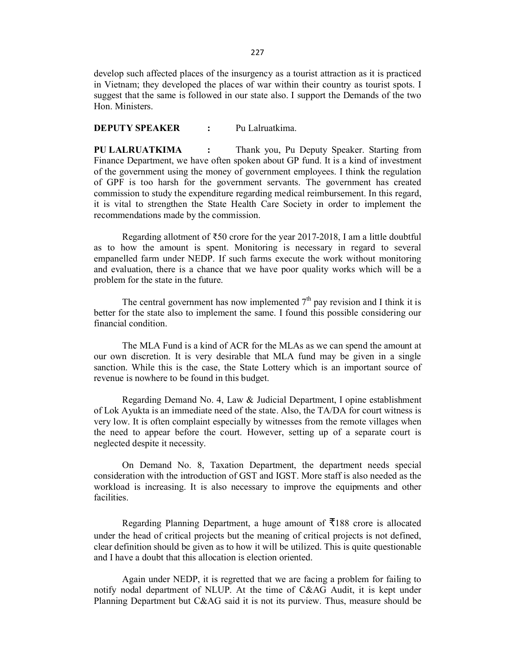develop such affected places of the insurgency as a tourist attraction as it is practiced in Vietnam; they developed the places of war within their country as tourist spots. I suggest that the same is followed in our state also.I support the Demands of the two Hon. Ministers.

### DEPUTY SPEAKER : Pu Lalruatkima.

PU LALRUATKIMA : Thank you, Pu Deputy Speaker. Starting from Finance Department, we have often spoken about GP fund. It is a kind of investment of the government using the money of government employees. I think theregulation of GPF is too harsh for the government servants. The government has created commission to study the expenditure regarding medical reimbursement. In this regard, it is vital to strengthen the State Health Care Society in order to implement the recommendations made by the commission. 227<br>
Revelop such affected places of the insurgency as a tourist attraction as it is practiced<br>
in Vietnam; they developed the places of war within their country as tourist spots. I<br>
SUGENTING SURFANCE EVALUATION THE SURFA In Vietnam; they developed the places of war within their country as tourist spots. I<br>suggest that the same is followed in our state also. I support the Demands of the two<br>Hon. Ministers.<br> **DEPUTY SPEAKER** : Pu Lalruatkim **DEPUTY SPEAKER** : Pu Lalruatkima.<br> **PU LALRUATKIMA** : Thank you, Pu Deputy Speaker. Starting from<br>
Finance Department, we have often spoken about GP fund. It is a kind of investment<br>
of the government using the money of

as to how the amount is spent. Monitoring is necessary in regard to several empanelled farm under NEDP. If such farms execute the work without monitoring and evaluation, there is a chance that we have poor quality works which will be a problem for the state in the future. of OFF is to co harsh for the government servants. The government has created to strengthen the State Health Care Society in order to implement the recommendations made by the commission.<br>Regarding allotment of ₹50 crore

The central government has now implemented  $7<sup>th</sup>$  pay revision and I think it is better for the state also to implement the same. I found this possible considering our financial condition.

our own discretion. It is very desirable that MLA fund may be given in a single sanction. While this is the case, the State Lottery which is an important source of revenue is nowhere to be found in this budget.

of Lok Ayukta is an immediate need of the state. Also, the TA/DA for court witness is very low. It is often complaint especially by witnesses from the remote villages when the need to appear before the court. However, setting up of a separate court is neglected despite it necessity. as to how the amount is spent. Monitoring is necessary in regard to several pay and evaluation, there is a chance that we have poor quality works which will be a problem for the state in the future.<br>The central government The central government has now implemented 7<sup>n</sup> pay revision and I think it is<br>better for the state also to implement the same. I found this possible considering our<br>financial condition.<br>The MLA Fund is a kind of ACR for

consideration with the introduction of GST and IGST. More staff is also needed as the workload is increasing. It is also necessary to improve the equipments and other facilities.

under the head of critical projects but the meaning of critical projects is not defined, clear definition should be given as to how it will be utilized. This is quite questionable and I have a doubt that this allocation is election oriented.

 Again under NEDP, it is regretted that we are facing a problem for failing to notify nodal department of NLUP. At the time of C&AG Audit, it is kept under Planning Department but C&AG said it is not its purview. Thus, measure should be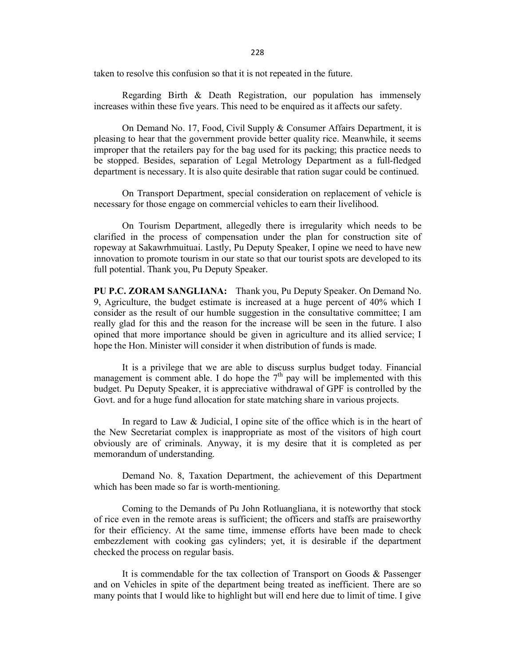228

228<br>
taken to resolve this confusion so that it is not repeated in the future.<br>
Regarding Birth & Death Registration, our population has immensely<br>
increases within these five years. This need to be enquired as it affects increases within these five years. This need to be enquired as it affects oursafety.

228<br>
Staken to resolve this confusion so that it is not repeated in the future.<br>
Regarding Birth & Death Registration, our population has immensely<br>
increases within these five years. This need to be enquired as it affects 228<br>
Staken to resolve this confusion so that it is not repeated in the future.<br>
Regarding Birth & Death Registration, our population has immensely<br>
increases within these five years. This need to be enquired as it affect pleasing to hear that the government provide better quality rice. Meanwhile, it seems improper that the retailers pay for the bag used for its packing; this practice needs to be stopped. Besides, separation of Legal Metrology Department as a full-fledged department is necessary. It is also quite desirable that ration sugar could be continued. 228<br>
228<br>
228<br>
Extern to resolve this confusion so that it is not repeated in the future.<br>
Regarding Birth & Death Registration, our population has immensely<br>
increases within these five years. This need to be enquired as

necessary for those engage on commercial vehicles to earn their livelihood.

228<br>
228<br>
1228<br>
1228<br>
1228<br>
1228<br>
1228<br>
1228<br>
1228<br>
1228<br>
1228<br>
1228<br>
1228<br>
1228<br>
1228<br>
1228<br>
1228 
1229<br>
1228 
1229<br>
1229 
1229 
1229 
1229 
1229 
1229 
1229 
1229 
1229 
1229 
1229 
1229 
1229 
1229 
1229 
1229 
1229 
1 clarified in the process of compensation under the plan for construction site of ropeway at Sakawrhmuituai. Lastly, Pu Deputy Speaker,I opine we need to have new innovation to promote tourism in our state so that our tourist spots are developed to its full potential. Thank you, Pu Deputy Speaker.

PU P.C. ZORAM SANGLIANA: Thank you, Pu Deputy Speaker. On Demand No. 9, Agriculture, the budget estimate is increased at a huge percent of 40% which I consider as the result of our humble suggestion in theconsultative committee; I am really glad for this and the reason for the increase will be seen in the future. I also opined that more importance should be given in agriculture and its allied service; I hope the Hon. Minister will consider it when distribution of funds is made.

It is a privilege that we are able to discuss surplus budget today. Financial management is comment able. I do hope the  $7<sup>th</sup>$  pay will be implemented with this budget. Pu Deputy Speaker, it is appreciative withdrawal of GPF is controlled by the Govt. and for a huge fund allocation for state matching share in various projects.

In regard to Law & Judicial, I opine site of the office which is in the heart of the New Secretariat complex is inappropriate as most of the visitors of high court obviously are of criminals. Anyway, it is my desire that it is completed as per memorandum of understanding.

Demand No. 8, Taxation Department, the achievement of this Department which has been made so far is worth-mentioning.

Coming to the Demands of Pu John Rotluangliana, it is noteworthy that stock of rice even in the remote areas is sufficient; the officers and staffs are praiseworthy for their efficiency. At the same time, immense efforts have been made to check embezzlement with cooking gas cylinders; yet, it is desirable if the department checked the process on regular basis.

It is commendable for the tax collection of Transport on Goods & Passenger and on Vehicles in spite of the department being treated as inefficient. There are so many points that I would like to highlight but will end here due to limit of time. I give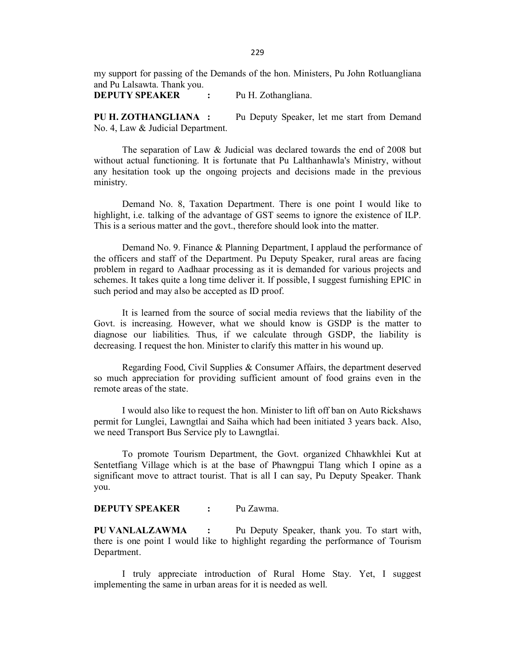my support for passing of the Demands of the hon. Ministers, Pu John Rotluangliana and Pu Lalsawta. Thank you.

DEPUTY SPEAKER : Pu H. Zothangliana.

PU H. ZOTHANGLIANA : Pu Deputy Speaker, let me start from Demand No. 4, Law & Judicial Department.

229<br>
my support for passing of the Demands of the hon. Ministers, Pu John Rotluangliana<br>
and Pu Lalsawta. Thank you.<br>
Pu H. Zothangliana.<br>
PU H. ZOTHANGLIANA : Pu Deputy Speaker, let me start from Demand<br>
No. 4, Law & Judi without actual functioning. It is fortunate that Pu Lalthanhawla's Ministry, without any hesitation took up the ongoing projects and decisions made in the previous ministry. Demand No. 8, Taxation Department. There is one point <sup>I</sup> would like to

highlight, i.e. talking of the advantage of GST seems to ignore the existence of ILP. This is a serious matter and the govt., therefore should look into the matter.

229<br>
229<br>
and Pu Lalsawta. Thank you.<br>
DEPUTIY SPEAKER<br>
20. FU H. Zothangliana.<br>
PU H. ZOTHANGI JANA : Pu Deputy Speaker, let me start from Demand<br>
No. 4, Law & Judicial Department.<br>
The separation of Law & Judicial was de the officers and staff of the Department. Pu Deputy Speaker, rural areas are facing problem in regard to Aadhaar processing as it isdemanded for various projects and schemes. It takes quite a long time deliver it. If possible, I suggest furnishing EPIC in such period and may also be accepted as ID proof. **DEPUTY SPEAKER** : Pu H. Zothangliana.<br>
PU H. ZOTHANGLIANA : Pu Deputy Speaker, let me start from Demand<br>
No. 4, Law & Judicial Department.<br>
The separation of Law & Judicial was declared towards the end of 2008 but<br>
witho The separation of Law & Judicial was declared towards the end of 2008 but<br>without actual functioning. It is fortunate that Pu Lalthanhawla's Ministry, without<br>any hesitation took up the ongoing projects and decisions made Demand No. 8, Taxation Department. There is one point I would like to highlight, i.e. talking of the advantage of GST seems to ignore the existence of ILP.<br>This is a serious matter and the govt., therefore should look into Demand No. 9. Finance & Planning Department, I applaud the performance of<br>the officers and staff of the Department. Pu Deputy Speaker, rural areas are facing<br>problem in regard to Aadhaar processing as it is demanded for va

Govt. is increasing. However, what we should know is GSDP is the matter to diagnose our liabilities. Thus, if we calculate through GSDP, the liability is decreasing. I request the hon. Minister to clarify this matter in his wound up.

so much appreciation for providing sufficient amount of food grains even in the remote areas of the state.

permit for Lunglei, Lawngtlai and Saiha which had been initiated 3 years back. Also, we need Transport Bus Service ply to Lawngtlai.

Sentetfiang Village which is at the base of Phawngpui Tlang which I opine as a significant move to attract tourist. That is all I can say, Pu Deputy Speaker. Thank you. remote areas of the state.<br>
I would also like to request the hon. Minister to lift off ban on Auto Rick<br>
permit for Lunglei, Lawngtlai and Saiha which had been initiated 3 years back.<br>
we need Transport Bus Service ply to

### DEPUTY SPEAKER : Pu Zawma.

PU VANLALZAWMA : Pu Deputy Speaker, thank you. To start with, there is one point I would like to highlight regarding the performance of Tourism Department.

 I truly appreciate introduction of Rural Home Stay. Yet, I suggest implementing the same in urban areas for it is needed as well.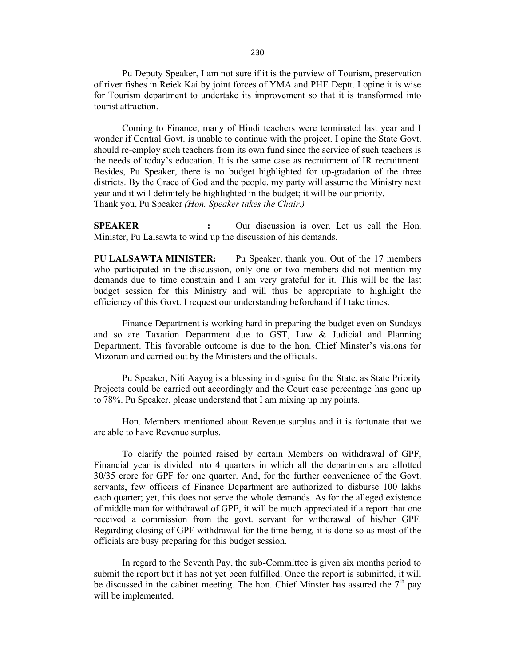Pu Deputy Speaker, I am not sure if it is the purview of Tourism, preservation of river fishes in Reiek Kai by joint forces of YMA and PHE Deptt. I opine it is wise for Tourism department to undertake its improvement so that it is transformed into tourist attraction.

Coming to Finance, many of Hindi teachers were terminated last year and I wonder if Central Govt. is unable to continue with the project. I opine the State Govt. should re-employ such teachers from its own fund since the service of such teachers is the needs of today's education. It is the same case as recruitment of IR recruitment. Besides, Pu Speaker, there is no budget highlighted for up-gradation of the three districts. By the Grace of God and the people, my party will assume the Ministry next year and it will definitely be highlighted in the budget; it will be our priority. Thank you, Pu Speaker (Hon. Speaker takes the Chair.) 230<br>
Pu Deputy Speaker, 1 am not sure if it is the purview of Tourism, preservation<br>
of river fishes in Reick Kai by joint forces of YMA and PHE Deptt. 1 opine it is wise<br>
for Tourism department to undertake its improvemen 230<br>
Pu Deputy Speaker, I am not sure if it is the purview of Tourism, preservation<br>
of river fishes in Recie Kai by joint forces of YMA and PHE Dept. I opine it is wise<br>
for Tourism department to undertake its improvement fourist attraction.<br>
Coming to Finance, many of Hindi teachers were terminated last year and I<br>
wonder if Central Govt. is unable to continue with the project. I opine the State Govt.<br>
should re-employ such teachers from i

who participated in the discussion, only one or two members did not mention my demands due to time constrain and I am very grateful for it. This will be the last budget session for this Ministry and will thus be appropriate to highlight the efficiency of this Govt. I request our understanding beforehand if I take times. Thank you, Pu Speaker *(Hon. Speaker takes the Chair.)*<br> **SPEAKER** : Our discussion of his demands.<br>
Minister, Pu Lalsawta to wind up the discussion of his demands.<br>
Who participated in the discussion, only one or two mem

and so are Taxation Department due to GST, Law & Judicial and Planning Department. This favorable outcome is due to the hon. Chief Minster's visions for Mizoram and carried out by the Ministers and the officials.

Pu Speaker, Niti Aayog is a blessing in disguise for the State, as State Priority Projects could be carried out accordingly and the Court case percentage has gone up to 78%. Pu Speaker, please understand that I am mixing up my points.

are able to have Revenue surplus.

Minister, Pu Lalsawta to wind up the discussion of his demands.<br>
PU LALSAWTA MINISTER: Pu Speaker, thank you. Out of the 17 members<br>
who participated in the discussion, only one or two members did not mention my<br>
demands d Financial year is divided into 4 quarters in which all the departments are allotted 30/35 crore for GPF for one quarter. And, for the further convenience of the Govt. servants, few officers of Finance Department are authorized to disburse 100 lakhs each quarter; yet, this does not serve the whole demands. As for the alleged existence of middle man for withdrawal of GPF, it will be much appreciated if areport that one received a commission from the govt. servant for withdrawal of his/her GPF. Regarding closing of GPF withdrawal forthe time being, it is done so as mostof the officials are busy preparing for thisbudget session. Department. This favorable outcome is due to the hon. Chief Minster's visions for Mizoram and carried out by the Ministers and the officials.<br>
Pu Speaker, Niti Aayog is a blessing in disguise for the State, as State Prior

submit the report but it has not yet been fulfilled. Once the report is submitted, it will be discussed in the cabinet meeting. The hon. Chief Minster has assured the  $7<sup>th</sup>$  pay pay will be implemented.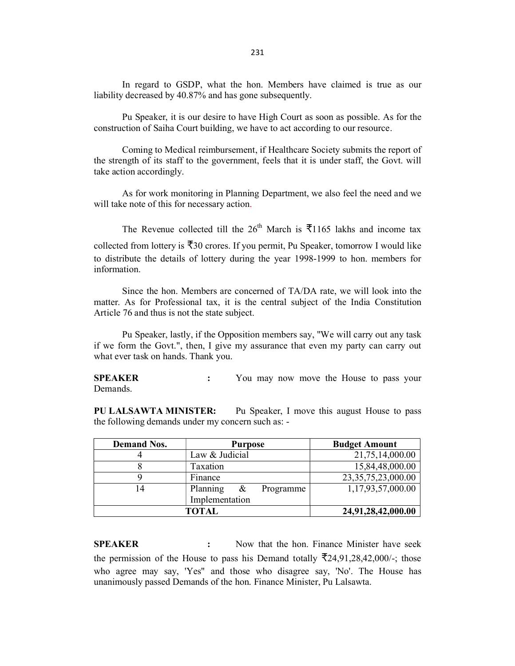231<br>In regard to GSDP, what the hon. Members have claimed is true as our<br>liability decreased by 40.87% and has gone subsequently.<br>Pu Speaker, it is our desire to have High Court as soon as possible. As for the<br>construction liability decreased by 40.87% and has gone subsequently.

 Pu Speaker, it is our desire to have High Court as soon as possible. As for the construction of Saiha Court building, we have to act according to our resource.

231<br>
In regard to GSDP, what the hon. Members have claimed is true as our<br>
liability decreased by 40.87% and has gone subsequently.<br>
Pu Speaker, it is our desire to have High Court as soon as possible. As for the<br>
construc the strength of its staff to the government, feels that it is under staff, the Govt. will take action accordingly. 231<br>
In regard to GSDP, what the hon. Members have claimed is true as our<br>
liability decreased by 40.87% and has gone subsequently.<br>
Pu Speaker, it is our desire to have High Court as soon as possible. As for the<br>
constru

will take note of this for necessary action.

The Revenue collected till the  $26<sup>th</sup>$  March is ₹1165 lakhs and income tax collected from lottery is ₹30 crores. If you permit, Pu Speaker, tomorrow I would like to distribute the details of lottery during the year 1998-1999 to hon. members for information. In regard to GSDP, what the hon. Members have claimed is true as our liability decreased by 40.87% and has gone subsequently.<br>
Pu Speaker, it is our desire to have High Court as soon as possible. As for the construction o Pu Speaker, it is our desire to have High Court as soon as possible. As for the<br>construction of Saiha Court building, we have to act according to our resource.<br>Coming to Medical reinhustement, if Healthcare Society submit SET ALL THE THE THE THE THE PROPET THE PLANCIAL THE PLANCIAL THE PLANCIAL THE PLANCIAL THE PLANCIAL THE REVENUE OF THE REVENUE OF THE REVENUE OF THE REVENUE OF THE REVENUE OF THE THE OF THE THE OF THE THE THE THE THE THE

matter. As for Professional tax, it is the central subject of the India Constitution Article 76 and thus is not the state subject.

if we form the Govt.", then, I give my assurance that even my party can carry out what ever task on hands. Thank you.

| <b>SPEAKER</b><br>Demands.   |                                                                                                                                                                                                                                                    | You may now move the House to pass your      |
|------------------------------|----------------------------------------------------------------------------------------------------------------------------------------------------------------------------------------------------------------------------------------------------|----------------------------------------------|
| <b>PU LALSAWTA MINISTER:</b> | the following demands under my concern such as: -                                                                                                                                                                                                  | Pu Speaker, I move this august House to pass |
| <b>Demand Nos.</b>           | <b>Purpose</b>                                                                                                                                                                                                                                     | <b>Budget Amount</b>                         |
| 4                            | Law & Judicial                                                                                                                                                                                                                                     | 21,75,14,000.00                              |
| 8                            | Taxation                                                                                                                                                                                                                                           | 15,84,48,000.00                              |
| 9                            | Finance                                                                                                                                                                                                                                            | 23, 35, 75, 23, 000.00                       |
| 14                           | Planning<br>$\&$<br>Programme<br>Implementation                                                                                                                                                                                                    | 1,17,93,57,000.00                            |
|                              | <b>TOTAL</b>                                                                                                                                                                                                                                       | 24,91,28,42,000.00                           |
| <b>SPEAKER</b>               | the permission of the House to pass his Demand totally $\overline{5}24,91,28,42,000/$ ; those<br>who agree may say, 'Yes" and those who disagree say, 'No'. The House has<br>unanimously passed Demands of the hon. Finance Minister, Pu Lalsawta. | Now that the hon. Finance Minister have seek |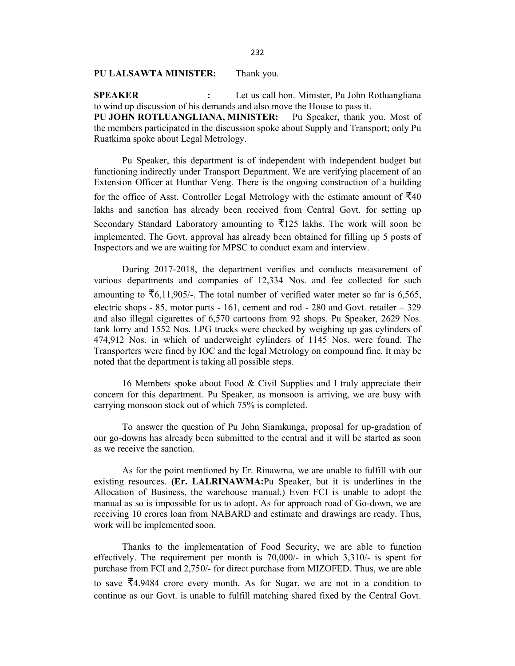### PU LALSAWTA MINISTER: Thank you.

232<br> **PU LALSAWTA MINISTER:** Thank you.<br> **SPEAKER** : Let us call hon. Minister, Pu John Rotluangliana<br>
to wind up discussion of his demands and also move the House to pass it.<br> **PU JOHN ROTLUANGLIANA, MINISTER:** Pu Speaker to wind up discussion of his demands and also move the House to pass it. PU JOHN ROTLUANGLIANA, MINISTER: Pu Speaker, thank you. Most of the members participated in the discussion spoke about Supply and Transport; only Pu Ruatkima spoke about Legal Metrology.

 Pu Speaker, this department is of independent with independent budget but functioning indirectly under Transport Department. We are verifying placement of an Extension Officer at Hunthar Veng. There is the ongoing construction of a building for the office of Asst. Controller Legal Metrology with the estimate amount of  $\overline{5}40$ lakhs and sanction has already been received from Central Govt. for setting up Secondary Standard Laboratory amounting to  $\overline{5}125$  lakhs. The work will soon be implemented. The Govt. approval has already been obtained for filling up 5 posts of Inspectors and we are waiting for MPSC to conduct exam and interview.

During 2017-2018, the department verifies and conducts measurement of various departments and companies of 12,334 Nos. and fee collected for such amounting to  $\overline{56,11,905/}$ . The total number of verified water meter so far is 6,565, electric shops  $-85$ , motor parts  $-161$ , cement and rod  $-280$  and Govt. retailer  $-329$ and also illegal cigarettes of 6,570 cartoons from 92 shops. Pu Speaker, 2629 Nos. tank lorry and 1552 Nos. LPG trucks were checked by weighing up gas cylinders of 474,912 Nos. in which of underweight cylinders of 1145 Nos. were found. The Transporters were fined by IOC and the legal Metrology on compound fine. It may be noted that the department is taking all possible steps.

16 Members spoke about Food & Civil Supplies and I truly appreciate their concern for this department. Pu Speaker, as monsoon is arriving, we are busy with carrying monsoon stock out of which 75% is completed.

To answer the question of Pu John Siamkunga, proposal for up-gradation of our go-downs has already been submitted to the central and it will be started as soon as we receive the sanction.

As for the point mentioned by Er. Rinawma, we are unable to fulfill with our existing resources. (Er. LALRINAWMA:Pu Speaker, but it is underlines in the Allocation of Business, the warehouse manual.) Even FCI is unable to adopt the manual as so is impossible for us to adopt. As for approach road of Go-down, we are receiving 10 crores loan from NABARD and estimate and drawings are ready. Thus, work will be implemented soon. tank lorry and 1552 Nos. LPG trucks were checked by weighing up gas cylinders of 4474912 Nos. in which of underweight cylinders of 1145 Nos. were found. The Transporters were fined by IOC and the legal Metrology on compoun

effectively. The requirement per month is 70,000/- in which 3,310/- is spent for purchase from FCI and 2,750/- for direct purchase from MIZOFED. Thus, we are able to save ₹4.9484 crore every month. As for Sugar, we are not in a condition to continue as our Govt. is unable to fulfill matching shared fixed by the Central Govt.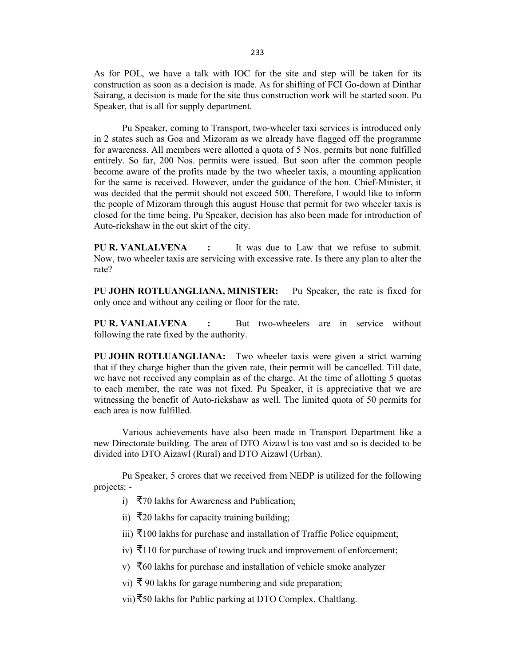As for POL, we have a talk with IOC for the site and step will be taken for its construction as soon as a decision is made. As for shifting of FCI Go-down at Dinthar Sairang, a decision is made for the site thus construction work will be started soon. Pu

233<br>
Specification as soon as a data with IOC for the site and step will be taken for its<br>
construction as soon as a decision is made. As for shifting of FCI Go-down at Dinthar<br>
Sairang, a decision is made for the site thu in 2 states such as Goa and Mizoram as we already have flagged off the programme for awareness. All members were allotted a quota of 5 Nos. permits but none fulfilled entirely. So far, 200 Nos. permits were issued. But soon after the common people become aware of the profits made by the two wheeler taxis, a mounting application for the same is received. However, under the guidance of the hon. Chief-Minister, it was decided that the permit should not exceed 500. Therefore, I would like to inform the people of Mizoram through this august House that permit for two wheeler taxis is closed for the time being. Pu Speaker, decision has also been made for introduction of Auto-rickshaw in the out skirt of the city.

PU R. VANLALVENA : It was due to Law that we refuse to submit. Now, two wheeler taxis are servicing with excessive rate. Is there any plan to alter the rate?

PU JOHN ROTLUANGLIANA, MINISTER: Pu Speaker, the rate is fixed for only once and without any ceiling or floor for the rate.

PU R. VANLALVENA : But two-wheelers are in service without following the rate fixed by the authority.

PU JOHN ROTLUANGLIANA: Two wheeler taxis were given a strict warning that if they charge higher than the given rate, their permit will be cancelled. Till date, we have not received any complain as of the charge. At the time of allotting 5 quotas to each member, the rate was not fixed. Pu Speaker, it is appreciative that we are witnessing the benefit of Auto-rickshaw as well. The limited quota of 50 permits for each area is now fulfilled.

Various achievements have also been made in Transport Department like a new Directorate building. The area ofDTO Aizawl is too vast and so is decided to be divided into DTO Aizawl (Rural) and DTO Aizawl (Urban).

Pu Speaker, 5 crores that we received from NEDP is utilized for the following projects: -

i) ₹70 lakhs for Awareness and Publication;

ii) ₹20 lakhs for capacity training building;

iii)  $\bar{$ }100 lakhs for purchase and installation of Traffic Police equipment;

- iv) ₹110 for purchase of towing truck and improvement of enforcement;
- v) ₹60 lakhs for purchase and installation of vehicle smoke analyzer

vi) ₹ 90 lakhs for garage numbering and side preparation;

vii)₹50 lakhs for Public parking at DTO Complex, Chaltlang.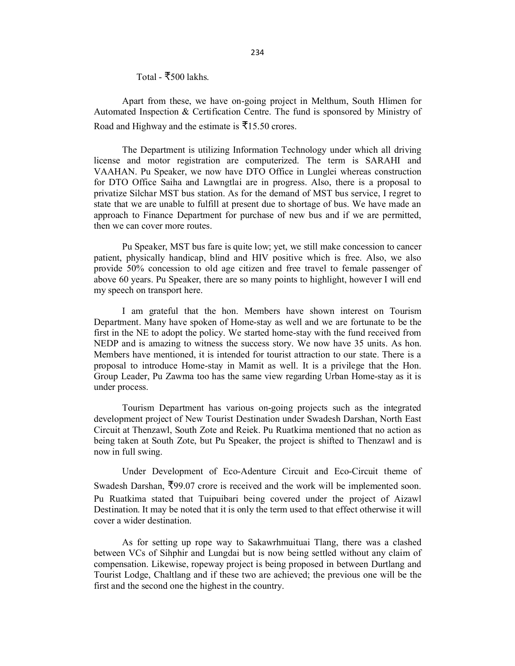Total - ₹500 lakhs.

234<br>
Total - ₹500 lakhs.<br>
Apart from these, we have on-going project in Melthum, South Hlimen for<br>
Automated Inspection & Certification Centre. The fund is sponsored by Ministry of<br>
Road and Highway and the estimate is ₹1 Automated Inspection & Certification Centre. The fund is sponsored by Ministry of Road and Highway and the estimate is  $\bar{x}$ 15.50 crores.

The Department is utilizing Information Technology under which all driving license and motor registration are computerized. The term is SARAHI and VAAHAN. Pu Speaker, we now have DTO Office in Lunglei whereas construction for DTO Office Saiha and Lawngtlai are in progress. Also, there is a proposal to privatize Silchar MST bus station. As for the demand of MST bus service, I regret to state that we are unable to fulfill at present due to shortage of bus. We have made an approach to Finance Department for purchase of new bus and if we are permitted, then we can cover more routes.

Pu Speaker, MST bus fare is quite low; yet, we still make concession to cancer patient, physically handicap, blind and HIV positive which is free. Also, we also provide 50% concession to old age citizen and free travel to female passenger of above 60 years. Pu Speaker, there are so many points to highlight, however I will end my speech on transport here.

I am grateful that the hon. Members have shown interest on Tourism Department. Many have spoken of Home-stay as well and we are fortunate to be the first in the NE to adopt the policy.We started home-stay with the fund received from NEDP and is amazing to witness the success story. We now have 35 units. As hon. Members have mentioned, it is intended for tourist attraction to our state. There is a proposal to introduce Home-stay in Mamit as well. It is a privilege that the Hon. Group Leader, Pu Zawma too has the same view regarding Urban Home-stay as it is under process. Department. Wany have spoken to rrome-stay as well and we are lottomate to be under<br>there in the NE to adopt the policy. We started home-stay with the find received from<br>Members have mentioned, it is intended for tourist a

Tourism Department has various on-going projects such as the integrated development project of New Tourist Destination under Swadesh Darshan, North East Circuit at Thenzawl, South Zote and Reiek. Pu Ruatkima mentioned that no action as being taken at South Zote, but Pu Speaker, the project is shifted to Thenzawl and is now in full swing.

Under Development of Eco-Adenture Circuit and Eco-Circuit theme of Swadesh Darshan, ₹99.07 crore is received and thework will be implemented soon. Pu Ruatkima stated that Tuipuibari being covered under the project of Aizawl Destination. It may be noted that it is only the term used to that effect otherwise it will cover a wider destination.

between VCs of Sihphir and Lungdai but is now being settled without any claim of compensation. Likewise, ropeway project is being proposed in between Durtlang and Tourist Lodge, Chaltlang and if these two are achieved; the previous one will be the first and the second one the highest in the country.